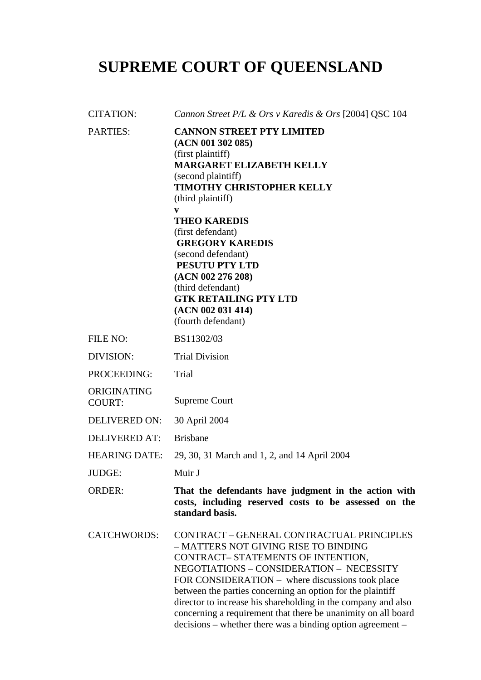# **SUPREME COURT OF QUEENSLAND**

| <b>CITATION:</b>             | Cannon Street P/L & Ors v Karedis & Ors [2004] QSC 104                                                                                                                                                                                                                                                                                                                                                                                                                               |
|------------------------------|--------------------------------------------------------------------------------------------------------------------------------------------------------------------------------------------------------------------------------------------------------------------------------------------------------------------------------------------------------------------------------------------------------------------------------------------------------------------------------------|
| <b>PARTIES:</b>              | <b>CANNON STREET PTY LIMITED</b><br>(ACN 001 302 085)<br>(first plaintiff)<br><b>MARGARET ELIZABETH KELLY</b><br>(second plaintiff)<br><b>TIMOTHY CHRISTOPHER KELLY</b><br>(third plaintiff)<br>$\mathbf{v}$<br><b>THEO KAREDIS</b><br>(first defendant)<br><b>GREGORY KAREDIS</b><br>(second defendant)<br>PESUTU PTY LTD<br>(ACN 002 276 208)<br>(third defendant)<br><b>GTK RETAILING PTY LTD</b><br>(ACN 002 031 414)<br>(fourth defendant)                                      |
| FILE NO:                     | BS11302/03                                                                                                                                                                                                                                                                                                                                                                                                                                                                           |
| DIVISION:                    | <b>Trial Division</b>                                                                                                                                                                                                                                                                                                                                                                                                                                                                |
| PROCEEDING:                  | Trial                                                                                                                                                                                                                                                                                                                                                                                                                                                                                |
| ORIGINATING<br><b>COURT:</b> | <b>Supreme Court</b>                                                                                                                                                                                                                                                                                                                                                                                                                                                                 |
| <b>DELIVERED ON:</b>         | 30 April 2004                                                                                                                                                                                                                                                                                                                                                                                                                                                                        |
| <b>DELIVERED AT:</b>         | <b>Brisbane</b>                                                                                                                                                                                                                                                                                                                                                                                                                                                                      |
| <b>HEARING DATE:</b>         | 29, 30, 31 March and 1, 2, and 14 April 2004                                                                                                                                                                                                                                                                                                                                                                                                                                         |
| JUDGE:                       | Muir J                                                                                                                                                                                                                                                                                                                                                                                                                                                                               |
| <b>ORDER:</b>                | That the defendants have judgment in the action with<br>costs, including reserved costs to be assessed on the<br>standard basis.                                                                                                                                                                                                                                                                                                                                                     |
| <b>CATCHWORDS:</b>           | CONTRACT - GENERAL CONTRACTUAL PRINCIPLES<br>- MATTERS NOT GIVING RISE TO BINDING<br>CONTRACT-STATEMENTS OF INTENTION,<br>NEGOTIATIONS - CONSIDERATION - NECESSITY<br>FOR CONSIDERATION – where discussions took place<br>between the parties concerning an option for the plaintiff<br>director to increase his shareholding in the company and also<br>concerning a requirement that there be unanimity on all board<br>decisions - whether there was a binding option agreement - |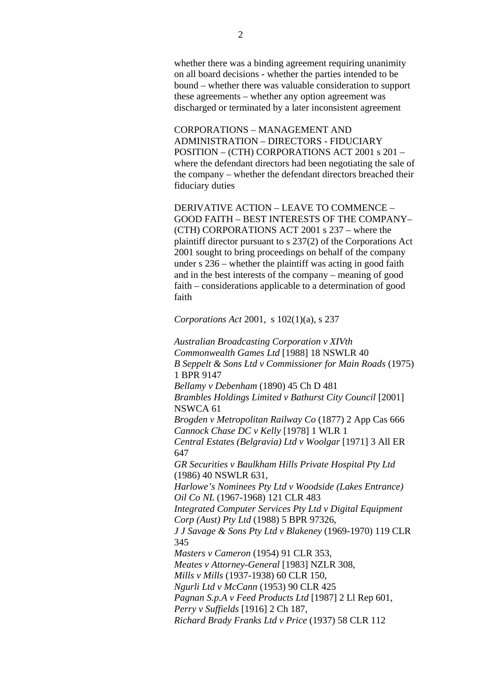whether there was a binding agreement requiring unanimity on all board decisions - whether the parties intended to be bound – whether there was valuable consideration to support these agreements – whether any option agreement was discharged or terminated by a later inconsistent agreement

CORPORATIONS – MANAGEMENT AND ADMINISTRATION – DIRECTORS - FIDUCIARY POSITION – (CTH) CORPORATIONS ACT 2001 s 201 – where the defendant directors had been negotiating the sale of the company – whether the defendant directors breached their fiduciary duties

DERIVATIVE ACTION – LEAVE TO COMMENCE – GOOD FAITH – BEST INTERESTS OF THE COMPANY– (CTH) CORPORATIONS ACT 2001 s 237 – where the plaintiff director pursuant to s 237(2) of the Corporations Act 2001 sought to bring proceedings on behalf of the company under s 236 – whether the plaintiff was acting in good faith and in the best interests of the company – meaning of good faith – considerations applicable to a determination of good faith

*Corporations Act* 2001, s 102(1)(a), s 237

*Australian Broadcasting Corporation v XIVth Commonwealth Games Ltd* [1988] 18 NSWLR 40 *B Seppelt & Sons Ltd v Commissioner for Main Roads* (1975) 1 BPR 9147 *Bellamy v Debenham* (1890) 45 Ch D 481 *Brambles Holdings Limited v Bathurst City Council* [2001] NSWCA 61 *Brogden v Metropolitan Railway Co* (1877) 2 App Cas 666 *Cannock Chase DC v Kelly* [1978] 1 WLR 1 *Central Estates (Belgravia) Ltd v Woolgar* [1971] 3 All ER 647 *GR Securities v Baulkham Hills Private Hospital Pty Ltd* (1986) 40 NSWLR 631, *Harlowe's Nominees Pty Ltd v Woodside (Lakes Entrance) Oil Co NL* (1967-1968) 121 CLR 483 *Integrated Computer Services Pty Ltd v Digital Equipment Corp (Aust) Pty Ltd* (1988) 5 BPR 97326, *J J Savage & Sons Pty Ltd v Blakeney* (1969-1970) 119 CLR 345 *Masters v Cameron* (1954) 91 CLR 353, *Meates v Attorney-General* [1983] NZLR 308, *Mills v Mills* (1937-1938) 60 CLR 150, *Ngurli Ltd v McCann* (1953) 90 CLR 425 *Pagnan S.p.A v Feed Products Ltd* [1987] 2 Ll Rep 601, *Perry v Suffields* [1916] 2 Ch 187, *Richard Brady Franks Ltd v Price* (1937) 58 CLR 112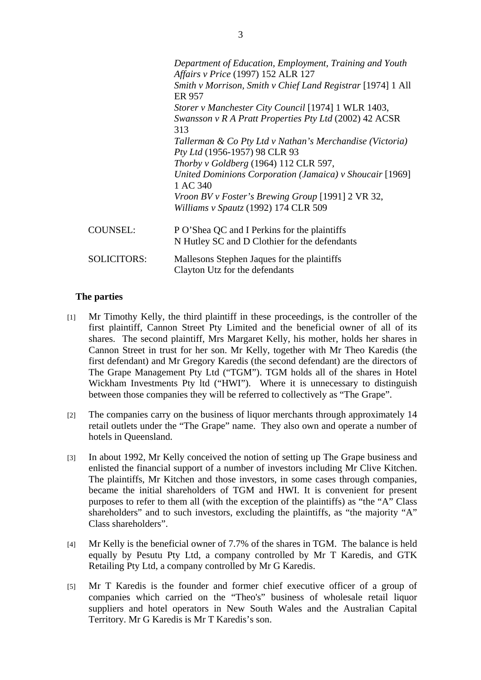|                    | Department of Education, Employment, Training and Youth                       |
|--------------------|-------------------------------------------------------------------------------|
|                    | Affairs v Price (1997) 152 ALR 127                                            |
|                    | Smith v Morrison, Smith v Chief Land Registrar [1974] 1 All<br>ER 957         |
|                    | Storer v Manchester City Council [1974] 1 WLR 1403,                           |
|                    | Swansson v R A Pratt Properties Pty Ltd (2002) 42 ACSR<br>313                 |
|                    | Tallerman & Co Pty Ltd v Nathan's Merchandise (Victoria)                      |
|                    | Pty Ltd (1956-1957) 98 CLR 93                                                 |
|                    | Thorby v Goldberg (1964) 112 CLR 597,                                         |
|                    | United Dominions Corporation (Jamaica) v Shoucair [1969]<br>1 AC 340          |
|                    | Vroon BV v Foster's Brewing Group [1991] 2 VR 32,                             |
|                    | Williams v Spautz (1992) 174 CLR 509                                          |
| <b>COUNSEL:</b>    | P O'Shea QC and I Perkins for the plaintiffs                                  |
|                    | N Hutley SC and D Clothier for the defendants                                 |
| <b>SOLICITORS:</b> | Mallesons Stephen Jaques for the plaintiffs<br>Clayton Utz for the defendants |
|                    |                                                                               |

## **The parties**

- [1] Mr Timothy Kelly, the third plaintiff in these proceedings, is the controller of the first plaintiff, Cannon Street Pty Limited and the beneficial owner of all of its shares. The second plaintiff, Mrs Margaret Kelly, his mother, holds her shares in Cannon Street in trust for her son. Mr Kelly, together with Mr Theo Karedis (the first defendant) and Mr Gregory Karedis (the second defendant) are the directors of The Grape Management Pty Ltd ("TGM"). TGM holds all of the shares in Hotel Wickham Investments Pty ltd ("HWI"). Where it is unnecessary to distinguish between those companies they will be referred to collectively as "The Grape".
- [2] The companies carry on the business of liquor merchants through approximately 14 retail outlets under the "The Grape" name. They also own and operate a number of hotels in Queensland.
- [3] In about 1992, Mr Kelly conceived the notion of setting up The Grape business and enlisted the financial support of a number of investors including Mr Clive Kitchen. The plaintiffs, Mr Kitchen and those investors, in some cases through companies, became the initial shareholders of TGM and HWI. It is convenient for present purposes to refer to them all (with the exception of the plaintiffs) as "the "A" Class shareholders" and to such investors, excluding the plaintiffs, as "the majority "A" Class shareholders".
- [4] Mr Kelly is the beneficial owner of 7.7% of the shares in TGM. The balance is held equally by Pesutu Pty Ltd, a company controlled by Mr T Karedis, and GTK Retailing Pty Ltd, a company controlled by Mr G Karedis.
- [5] Mr T Karedis is the founder and former chief executive officer of a group of companies which carried on the "Theo's" business of wholesale retail liquor suppliers and hotel operators in New South Wales and the Australian Capital Territory. Mr G Karedis is Mr T Karedis's son.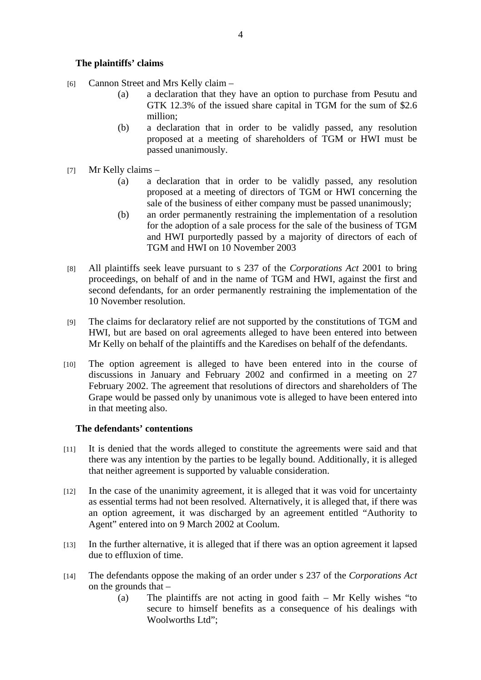## **The plaintiffs' claims**

- [6] Cannon Street and Mrs Kelly claim
	- (a) a declaration that they have an option to purchase from Pesutu and GTK 12.3% of the issued share capital in TGM for the sum of \$2.6 million;
	- (b) a declaration that in order to be validly passed, any resolution proposed at a meeting of shareholders of TGM or HWI must be passed unanimously.
- [7] Mr Kelly claims
	- (a) a declaration that in order to be validly passed, any resolution proposed at a meeting of directors of TGM or HWI concerning the sale of the business of either company must be passed unanimously;
	- (b) an order permanently restraining the implementation of a resolution for the adoption of a sale process for the sale of the business of TGM and HWI purportedly passed by a majority of directors of each of TGM and HWI on 10 November 2003
- [8] All plaintiffs seek leave pursuant to s 237 of the *Corporations Act* 2001 to bring proceedings, on behalf of and in the name of TGM and HWI, against the first and second defendants, for an order permanently restraining the implementation of the 10 November resolution.
- [9] The claims for declaratory relief are not supported by the constitutions of TGM and HWI, but are based on oral agreements alleged to have been entered into between Mr Kelly on behalf of the plaintiffs and the Karedises on behalf of the defendants.
- [10] The option agreement is alleged to have been entered into in the course of discussions in January and February 2002 and confirmed in a meeting on 27 February 2002. The agreement that resolutions of directors and shareholders of The Grape would be passed only by unanimous vote is alleged to have been entered into in that meeting also.

## **The defendants' contentions**

- [11] It is denied that the words alleged to constitute the agreements were said and that there was any intention by the parties to be legally bound. Additionally, it is alleged that neither agreement is supported by valuable consideration.
- [12] In the case of the unanimity agreement, it is alleged that it was void for uncertainty as essential terms had not been resolved. Alternatively, it is alleged that, if there was an option agreement, it was discharged by an agreement entitled "Authority to Agent" entered into on 9 March 2002 at Coolum.
- [13] In the further alternative, it is alleged that if there was an option agreement it lapsed due to effluxion of time.
- [14] The defendants oppose the making of an order under s 237 of the *Corporations Act* on the grounds that –
	- (a) The plaintiffs are not acting in good faith Mr Kelly wishes "to secure to himself benefits as a consequence of his dealings with Woolworths Ltd";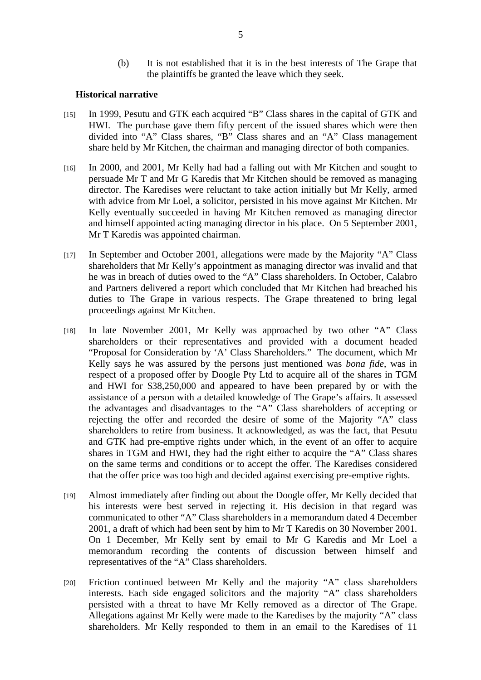(b) It is not established that it is in the best interests of The Grape that the plaintiffs be granted the leave which they seek.

#### **Historical narrative**

- [15] In 1999, Pesutu and GTK each acquired "B" Class shares in the capital of GTK and HWI. The purchase gave them fifty percent of the issued shares which were then divided into "A" Class shares, "B" Class shares and an "A" Class management share held by Mr Kitchen, the chairman and managing director of both companies.
- [16] In 2000, and 2001, Mr Kelly had had a falling out with Mr Kitchen and sought to persuade Mr T and Mr G Karedis that Mr Kitchen should be removed as managing director. The Karedises were reluctant to take action initially but Mr Kelly, armed with advice from Mr Loel, a solicitor, persisted in his move against Mr Kitchen. Mr Kelly eventually succeeded in having Mr Kitchen removed as managing director and himself appointed acting managing director in his place. On 5 September 2001, Mr T Karedis was appointed chairman.
- [17] In September and October 2001, allegations were made by the Majority "A" Class shareholders that Mr Kelly's appointment as managing director was invalid and that he was in breach of duties owed to the "A" Class shareholders. In October, Calabro and Partners delivered a report which concluded that Mr Kitchen had breached his duties to The Grape in various respects. The Grape threatened to bring legal proceedings against Mr Kitchen.
- [18] In late November 2001, Mr Kelly was approached by two other "A" Class shareholders or their representatives and provided with a document headed "Proposal for Consideration by 'A' Class Shareholders." The document, which Mr Kelly says he was assured by the persons just mentioned was *bona fide*, was in respect of a proposed offer by Doogle Pty Ltd to acquire all of the shares in TGM and HWI for \$38,250,000 and appeared to have been prepared by or with the assistance of a person with a detailed knowledge of The Grape's affairs. It assessed the advantages and disadvantages to the "A" Class shareholders of accepting or rejecting the offer and recorded the desire of some of the Majority "A" class shareholders to retire from business. It acknowledged, as was the fact, that Pesutu and GTK had pre-emptive rights under which, in the event of an offer to acquire shares in TGM and HWI, they had the right either to acquire the "A" Class shares on the same terms and conditions or to accept the offer. The Karedises considered that the offer price was too high and decided against exercising pre-emptive rights.
- [19] Almost immediately after finding out about the Doogle offer, Mr Kelly decided that his interests were best served in rejecting it. His decision in that regard was communicated to other "A" Class shareholders in a memorandum dated 4 December 2001, a draft of which had been sent by him to Mr T Karedis on 30 November 2001. On 1 December, Mr Kelly sent by email to Mr G Karedis and Mr Loel a memorandum recording the contents of discussion between himself and representatives of the "A" Class shareholders.
- [20] Friction continued between Mr Kelly and the majority "A" class shareholders interests. Each side engaged solicitors and the majority "A" class shareholders persisted with a threat to have Mr Kelly removed as a director of The Grape. Allegations against Mr Kelly were made to the Karedises by the majority "A" class shareholders. Mr Kelly responded to them in an email to the Karedises of 11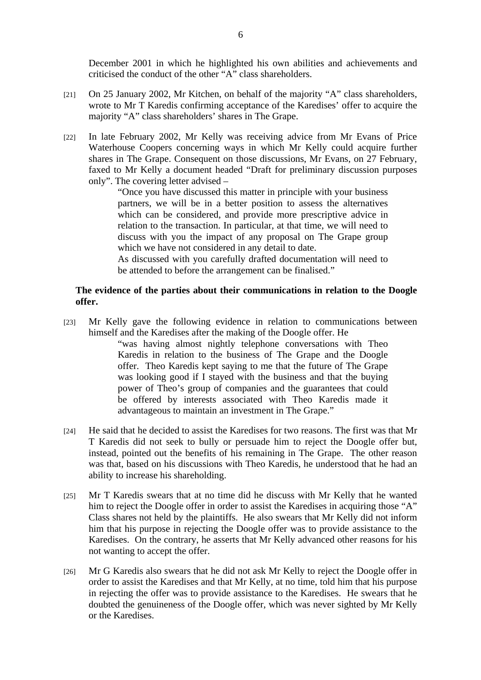December 2001 in which he highlighted his own abilities and achievements and criticised the conduct of the other "A" class shareholders.

- [21] On 25 January 2002, Mr Kitchen, on behalf of the majority "A" class shareholders, wrote to Mr T Karedis confirming acceptance of the Karedises' offer to acquire the majority "A" class shareholders' shares in The Grape.
- [22] In late February 2002, Mr Kelly was receiving advice from Mr Evans of Price Waterhouse Coopers concerning ways in which Mr Kelly could acquire further shares in The Grape. Consequent on those discussions, Mr Evans, on 27 February, faxed to Mr Kelly a document headed "Draft for preliminary discussion purposes only". The covering letter advised –

"Once you have discussed this matter in principle with your business partners, we will be in a better position to assess the alternatives which can be considered, and provide more prescriptive advice in relation to the transaction. In particular, at that time, we will need to discuss with you the impact of any proposal on The Grape group which we have not considered in any detail to date.

As discussed with you carefully drafted documentation will need to be attended to before the arrangement can be finalised."

## **The evidence of the parties about their communications in relation to the Doogle offer.**

[23] Mr Kelly gave the following evidence in relation to communications between himself and the Karedises after the making of the Doogle offer. He

> "was having almost nightly telephone conversations with Theo Karedis in relation to the business of The Grape and the Doogle offer. Theo Karedis kept saying to me that the future of The Grape was looking good if I stayed with the business and that the buying power of Theo's group of companies and the guarantees that could be offered by interests associated with Theo Karedis made it advantageous to maintain an investment in The Grape."

- [24] He said that he decided to assist the Karedises for two reasons. The first was that Mr T Karedis did not seek to bully or persuade him to reject the Doogle offer but, instead, pointed out the benefits of his remaining in The Grape. The other reason was that, based on his discussions with Theo Karedis, he understood that he had an ability to increase his shareholding.
- [25] Mr T Karedis swears that at no time did he discuss with Mr Kelly that he wanted him to reject the Doogle offer in order to assist the Karedises in acquiring those "A" Class shares not held by the plaintiffs. He also swears that Mr Kelly did not inform him that his purpose in rejecting the Doogle offer was to provide assistance to the Karedises. On the contrary, he asserts that Mr Kelly advanced other reasons for his not wanting to accept the offer.
- [26] Mr G Karedis also swears that he did not ask Mr Kelly to reject the Doogle offer in order to assist the Karedises and that Mr Kelly, at no time, told him that his purpose in rejecting the offer was to provide assistance to the Karedises. He swears that he doubted the genuineness of the Doogle offer, which was never sighted by Mr Kelly or the Karedises.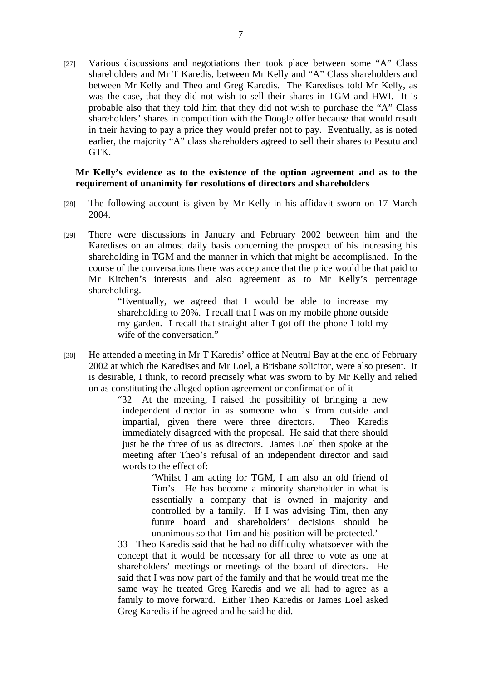[27] Various discussions and negotiations then took place between some "A" Class shareholders and Mr T Karedis, between Mr Kelly and "A" Class shareholders and between Mr Kelly and Theo and Greg Karedis. The Karedises told Mr Kelly, as was the case, that they did not wish to sell their shares in TGM and HWI. It is probable also that they told him that they did not wish to purchase the "A" Class shareholders' shares in competition with the Doogle offer because that would result in their having to pay a price they would prefer not to pay. Eventually, as is noted earlier, the majority "A" class shareholders agreed to sell their shares to Pesutu and GTK.

#### **Mr Kelly's evidence as to the existence of the option agreement and as to the requirement of unanimity for resolutions of directors and shareholders**

- [28] The following account is given by Mr Kelly in his affidavit sworn on 17 March 2004.
- [29] There were discussions in January and February 2002 between him and the Karedises on an almost daily basis concerning the prospect of his increasing his shareholding in TGM and the manner in which that might be accomplished. In the course of the conversations there was acceptance that the price would be that paid to Mr Kitchen's interests and also agreement as to Mr Kelly's percentage shareholding.

"Eventually, we agreed that I would be able to increase my shareholding to 20%. I recall that I was on my mobile phone outside my garden. I recall that straight after I got off the phone I told my wife of the conversation."

[30] He attended a meeting in Mr T Karedis' office at Neutral Bay at the end of February 2002 at which the Karedises and Mr Loel, a Brisbane solicitor, were also present. It is desirable, I think, to record precisely what was sworn to by Mr Kelly and relied on as constituting the alleged option agreement or confirmation of it –

> "32 At the meeting, I raised the possibility of bringing a new independent director in as someone who is from outside and impartial, given there were three directors. Theo Karedis immediately disagreed with the proposal. He said that there should just be the three of us as directors. James Loel then spoke at the meeting after Theo's refusal of an independent director and said words to the effect of:

> > 'Whilst I am acting for TGM, I am also an old friend of Tim's. He has become a minority shareholder in what is essentially a company that is owned in majority and controlled by a family. If I was advising Tim, then any future board and shareholders' decisions should be unanimous so that Tim and his position will be protected.'

33 Theo Karedis said that he had no difficulty whatsoever with the concept that it would be necessary for all three to vote as one at shareholders' meetings or meetings of the board of directors. He said that I was now part of the family and that he would treat me the same way he treated Greg Karedis and we all had to agree as a family to move forward. Either Theo Karedis or James Loel asked Greg Karedis if he agreed and he said he did.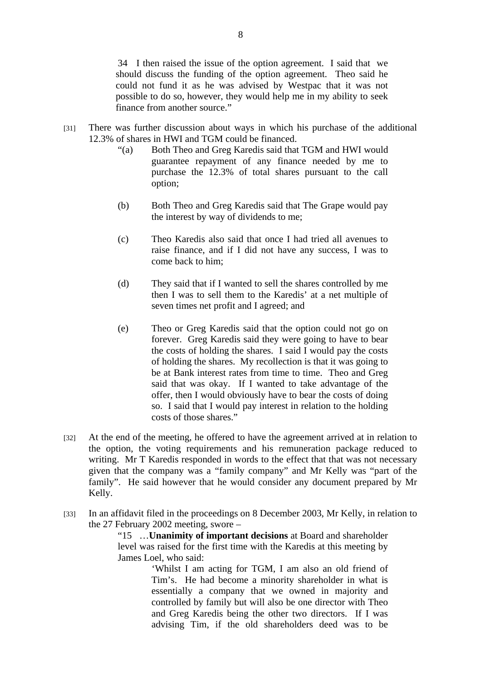34 I then raised the issue of the option agreement. I said that we should discuss the funding of the option agreement. Theo said he could not fund it as he was advised by Westpac that it was not possible to do so, however, they would help me in my ability to seek finance from another source."

- [31] There was further discussion about ways in which his purchase of the additional 12.3% of shares in HWI and TGM could be financed.
	- "(a) Both Theo and Greg Karedis said that TGM and HWI would guarantee repayment of any finance needed by me to purchase the 12.3% of total shares pursuant to the call option;
	- (b) Both Theo and Greg Karedis said that The Grape would pay the interest by way of dividends to me;
	- (c) Theo Karedis also said that once I had tried all avenues to raise finance, and if I did not have any success, I was to come back to him;
	- (d) They said that if I wanted to sell the shares controlled by me then I was to sell them to the Karedis' at a net multiple of seven times net profit and I agreed; and
	- (e) Theo or Greg Karedis said that the option could not go on forever. Greg Karedis said they were going to have to bear the costs of holding the shares. I said I would pay the costs of holding the shares. My recollection is that it was going to be at Bank interest rates from time to time. Theo and Greg said that was okay. If I wanted to take advantage of the offer, then I would obviously have to bear the costs of doing so. I said that I would pay interest in relation to the holding costs of those shares."
- [32] At the end of the meeting, he offered to have the agreement arrived at in relation to the option, the voting requirements and his remuneration package reduced to writing. Mr T Karedis responded in words to the effect that that was not necessary given that the company was a "family company" and Mr Kelly was "part of the family". He said however that he would consider any document prepared by Mr Kelly.
- [33] In an affidavit filed in the proceedings on 8 December 2003, Mr Kelly, in relation to the 27 February 2002 meeting, swore –

"15 …**Unanimity of important decisions** at Board and shareholder level was raised for the first time with the Karedis at this meeting by James Loel, who said:

> 'Whilst I am acting for TGM, I am also an old friend of Tim's. He had become a minority shareholder in what is essentially a company that we owned in majority and controlled by family but will also be one director with Theo and Greg Karedis being the other two directors. If I was advising Tim, if the old shareholders deed was to be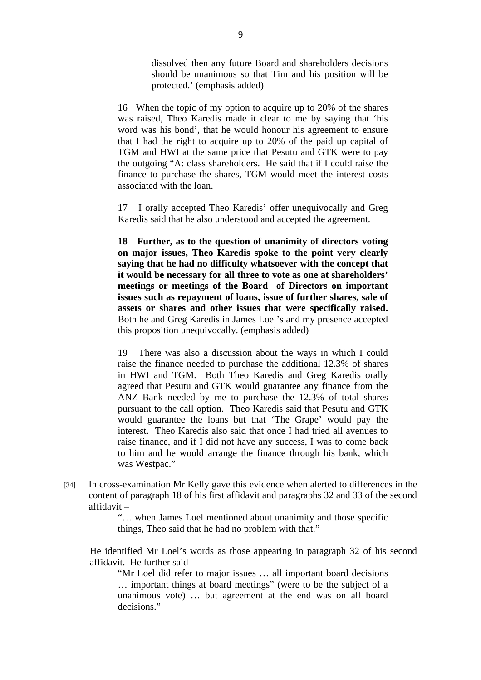dissolved then any future Board and shareholders decisions should be unanimous so that Tim and his position will be protected.' (emphasis added)

16 When the topic of my option to acquire up to 20% of the shares was raised, Theo Karedis made it clear to me by saying that 'his word was his bond', that he would honour his agreement to ensure that I had the right to acquire up to 20% of the paid up capital of TGM and HWI at the same price that Pesutu and GTK were to pay the outgoing "A: class shareholders. He said that if I could raise the finance to purchase the shares, TGM would meet the interest costs associated with the loan.

17 I orally accepted Theo Karedis' offer unequivocally and Greg Karedis said that he also understood and accepted the agreement.

**18 Further, as to the question of unanimity of directors voting on major issues, Theo Karedis spoke to the point very clearly saying that he had no difficulty whatsoever with the concept that it would be necessary for all three to vote as one at shareholders' meetings or meetings of the Board of Directors on important issues such as repayment of loans, issue of further shares, sale of assets or shares and other issues that were specifically raised.**  Both he and Greg Karedis in James Loel's and my presence accepted this proposition unequivocally. (emphasis added)

19 There was also a discussion about the ways in which I could raise the finance needed to purchase the additional 12.3% of shares in HWI and TGM. Both Theo Karedis and Greg Karedis orally agreed that Pesutu and GTK would guarantee any finance from the ANZ Bank needed by me to purchase the 12.3% of total shares pursuant to the call option. Theo Karedis said that Pesutu and GTK would guarantee the loans but that 'The Grape' would pay the interest. Theo Karedis also said that once I had tried all avenues to raise finance, and if I did not have any success, I was to come back to him and he would arrange the finance through his bank, which was Westpac."

[34] In cross-examination Mr Kelly gave this evidence when alerted to differences in the content of paragraph 18 of his first affidavit and paragraphs 32 and 33 of the second affidavit –

> "… when James Loel mentioned about unanimity and those specific things, Theo said that he had no problem with that."

He identified Mr Loel's words as those appearing in paragraph 32 of his second affidavit. He further said –

"Mr Loel did refer to major issues … all important board decisions … important things at board meetings" (were to be the subject of a unanimous vote) … but agreement at the end was on all board decisions."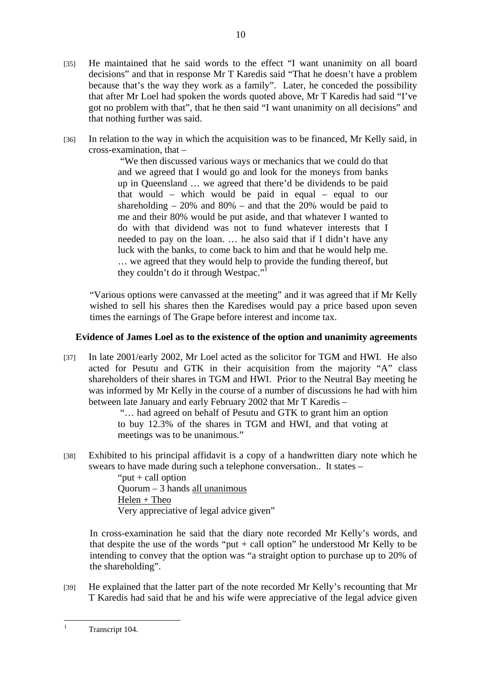- [35] He maintained that he said words to the effect "I want unanimity on all board decisions" and that in response Mr T Karedis said "That he doesn't have a problem because that's the way they work as a family". Later, he conceded the possibility that after Mr Loel had spoken the words quoted above, Mr T Karedis had said "I've got no problem with that", that he then said "I want unanimity on all decisions" and that nothing further was said.
- [36] In relation to the way in which the acquisition was to be financed, Mr Kelly said, in cross-examination, that –

 "We then discussed various ways or mechanics that we could do that and we agreed that I would go and look for the moneys from banks up in Queensland … we agreed that there'd be dividends to be paid that would – which would be paid in equal – equal to our shareholding  $-20\%$  and  $80\%$  – and that the 20% would be paid to me and their 80% would be put aside, and that whatever I wanted to do with that dividend was not to fund whatever interests that I needed to pay on the loan. … he also said that if I didn't have any luck with the banks, to come back to him and that he would help me. … we agreed that they would help to provide the funding thereof, but they couldn't do it through Westpac."

"Various options were canvassed at the meeting" and it was agreed that if Mr Kelly wished to sell his shares then the Karedises would pay a price based upon seven times the earnings of The Grape before interest and income tax.

## **Evidence of James Loel as to the existence of the option and unanimity agreements**

[37] In late 2001/early 2002, Mr Loel acted as the solicitor for TGM and HWI. He also acted for Pesutu and GTK in their acquisition from the majority "A" class shareholders of their shares in TGM and HWI. Prior to the Neutral Bay meeting he was informed by Mr Kelly in the course of a number of discussions he had with him between late January and early February 2002 that Mr T Karedis –

 "… had agreed on behalf of Pesutu and GTK to grant him an option to buy 12.3% of the shares in TGM and HWI, and that voting at meetings was to be unanimous."

[38] Exhibited to his principal affidavit is a copy of a handwritten diary note which he swears to have made during such a telephone conversation.. It states –

> " $put + call option$ " Quorum – 3 hands all unanimous  $Helen + Theo$ Very appreciative of legal advice given"

In cross-examination he said that the diary note recorded Mr Kelly's words, and that despite the use of the words "put  $+$  call option" he understood Mr Kelly to be intending to convey that the option was "a straight option to purchase up to 20% of the shareholding".

[39] He explained that the latter part of the note recorded Mr Kelly's recounting that Mr T Karedis had said that he and his wife were appreciative of the legal advice given

 $\frac{1}{1}$ Transcript 104.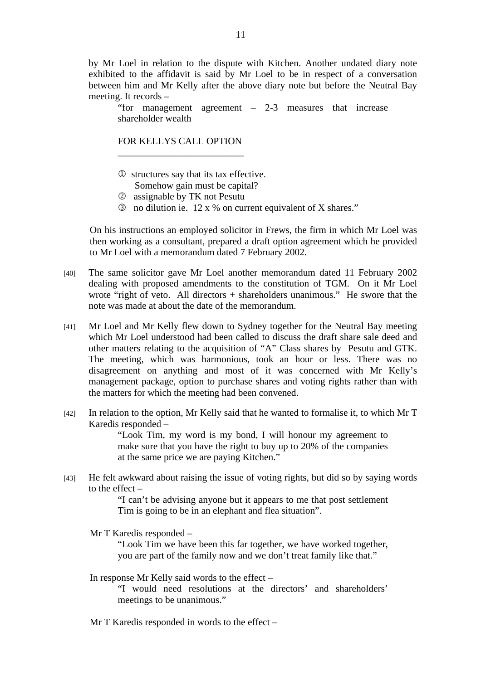by Mr Loel in relation to the dispute with Kitchen. Another undated diary note exhibited to the affidavit is said by Mr Loel to be in respect of a conversation between him and Mr Kelly after the above diary note but before the Neutral Bay meeting. It records –

"for management agreement – 2-3 measures that increase shareholder wealth

## FOR KELLYS CALL OPTION \_\_\_\_\_\_\_\_\_\_\_\_\_\_\_\_\_\_\_\_\_\_\_\_\_\_

- 1 structures say that its tax effective. Somehow gain must be capital?
- 2 assignable by TK not Pesutu
- 3 no dilution ie. 12 x % on current equivalent of X shares."

On his instructions an employed solicitor in Frews, the firm in which Mr Loel was then working as a consultant, prepared a draft option agreement which he provided to Mr Loel with a memorandum dated 7 February 2002.

- [40] The same solicitor gave Mr Loel another memorandum dated 11 February 2002 dealing with proposed amendments to the constitution of TGM. On it Mr Loel wrote "right of veto. All directors + shareholders unanimous." He swore that the note was made at about the date of the memorandum.
- [41] Mr Loel and Mr Kelly flew down to Sydney together for the Neutral Bay meeting which Mr Loel understood had been called to discuss the draft share sale deed and other matters relating to the acquisition of "A" Class shares by Pesutu and GTK. The meeting, which was harmonious, took an hour or less. There was no disagreement on anything and most of it was concerned with Mr Kelly's management package, option to purchase shares and voting rights rather than with the matters for which the meeting had been convened.
- [42] In relation to the option, Mr Kelly said that he wanted to formalise it, to which Mr T Karedis responded –

"Look Tim, my word is my bond, I will honour my agreement to make sure that you have the right to buy up to 20% of the companies at the same price we are paying Kitchen."

[43] He felt awkward about raising the issue of voting rights, but did so by saying words to the effect –

> "I can't be advising anyone but it appears to me that post settlement Tim is going to be in an elephant and flea situation".

Mr T Karedis responded –

"Look Tim we have been this far together, we have worked together, you are part of the family now and we don't treat family like that."

In response Mr Kelly said words to the effect –

"I would need resolutions at the directors' and shareholders' meetings to be unanimous."

Mr T Karedis responded in words to the effect –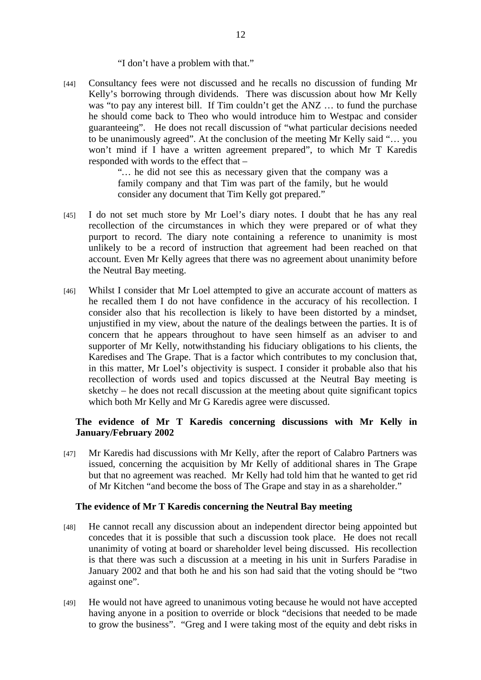#### "I don't have a problem with that."

[44] Consultancy fees were not discussed and he recalls no discussion of funding Mr Kelly's borrowing through dividends. There was discussion about how Mr Kelly was "to pay any interest bill. If Tim couldn't get the ANZ ... to fund the purchase he should come back to Theo who would introduce him to Westpac and consider guaranteeing". He does not recall discussion of "what particular decisions needed to be unanimously agreed". At the conclusion of the meeting Mr Kelly said "… you won't mind if I have a written agreement prepared", to which Mr T Karedis responded with words to the effect that –

> "*…* he did not see this as necessary given that the company was a family company and that Tim was part of the family, but he would consider any document that Tim Kelly got prepared."

- [45] I do not set much store by Mr Loel's diary notes. I doubt that he has any real recollection of the circumstances in which they were prepared or of what they purport to record. The diary note containing a reference to unanimity is most unlikely to be a record of instruction that agreement had been reached on that account. Even Mr Kelly agrees that there was no agreement about unanimity before the Neutral Bay meeting.
- [46] Whilst I consider that Mr Loel attempted to give an accurate account of matters as he recalled them I do not have confidence in the accuracy of his recollection. I consider also that his recollection is likely to have been distorted by a mindset, unjustified in my view, about the nature of the dealings between the parties. It is of concern that he appears throughout to have seen himself as an adviser to and supporter of Mr Kelly, notwithstanding his fiduciary obligations to his clients, the Karedises and The Grape. That is a factor which contributes to my conclusion that, in this matter, Mr Loel's objectivity is suspect. I consider it probable also that his recollection of words used and topics discussed at the Neutral Bay meeting is sketchy – he does not recall discussion at the meeting about quite significant topics which both Mr Kelly and Mr G Karedis agree were discussed.

## **The evidence of Mr T Karedis concerning discussions with Mr Kelly in January/February 2002**

[47] Mr Karedis had discussions with Mr Kelly, after the report of Calabro Partners was issued, concerning the acquisition by Mr Kelly of additional shares in The Grape but that no agreement was reached. Mr Kelly had told him that he wanted to get rid of Mr Kitchen "and become the boss of The Grape and stay in as a shareholder."

#### **The evidence of Mr T Karedis concerning the Neutral Bay meeting**

- [48] He cannot recall any discussion about an independent director being appointed but concedes that it is possible that such a discussion took place. He does not recall unanimity of voting at board or shareholder level being discussed. His recollection is that there was such a discussion at a meeting in his unit in Surfers Paradise in January 2002 and that both he and his son had said that the voting should be "two against one".
- [49] He would not have agreed to unanimous voting because he would not have accepted having anyone in a position to override or block "decisions that needed to be made to grow the business". "Greg and I were taking most of the equity and debt risks in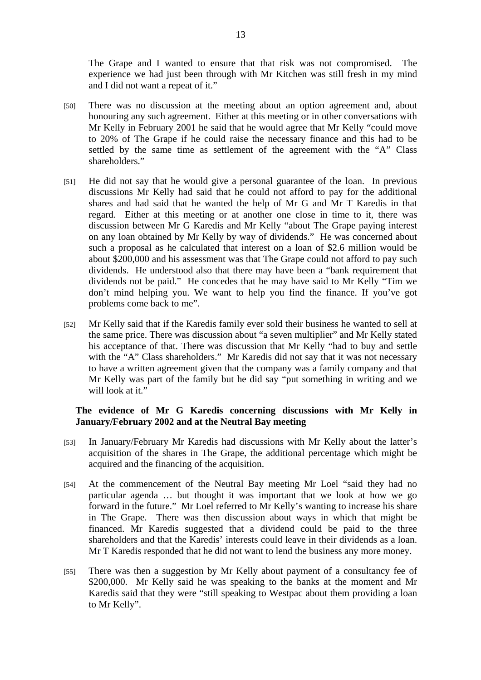The Grape and I wanted to ensure that that risk was not compromised. The experience we had just been through with Mr Kitchen was still fresh in my mind and I did not want a repeat of it."

- [50] There was no discussion at the meeting about an option agreement and, about honouring any such agreement. Either at this meeting or in other conversations with Mr Kelly in February 2001 he said that he would agree that Mr Kelly "could move to 20% of The Grape if he could raise the necessary finance and this had to be settled by the same time as settlement of the agreement with the "A" Class shareholders."
- [51] He did not say that he would give a personal guarantee of the loan. In previous discussions Mr Kelly had said that he could not afford to pay for the additional shares and had said that he wanted the help of Mr G and Mr T Karedis in that regard. Either at this meeting or at another one close in time to it, there was discussion between Mr G Karedis and Mr Kelly "about The Grape paying interest on any loan obtained by Mr Kelly by way of dividends." He was concerned about such a proposal as he calculated that interest on a loan of \$2.6 million would be about \$200,000 and his assessment was that The Grape could not afford to pay such dividends. He understood also that there may have been a "bank requirement that dividends not be paid." He concedes that he may have said to Mr Kelly "Tim we don't mind helping you. We want to help you find the finance. If you've got problems come back to me".
- [52] Mr Kelly said that if the Karedis family ever sold their business he wanted to sell at the same price. There was discussion about "a seven multiplier" and Mr Kelly stated his acceptance of that. There was discussion that Mr Kelly "had to buy and settle with the "A" Class shareholders." Mr Karedis did not say that it was not necessary to have a written agreement given that the company was a family company and that Mr Kelly was part of the family but he did say "put something in writing and we will look at it."

## **The evidence of Mr G Karedis concerning discussions with Mr Kelly in January/February 2002 and at the Neutral Bay meeting**

- [53] In January/February Mr Karedis had discussions with Mr Kelly about the latter's acquisition of the shares in The Grape, the additional percentage which might be acquired and the financing of the acquisition.
- [54] At the commencement of the Neutral Bay meeting Mr Loel "said they had no particular agenda … but thought it was important that we look at how we go forward in the future." Mr Loel referred to Mr Kelly's wanting to increase his share in The Grape. There was then discussion about ways in which that might be financed. Mr Karedis suggested that a dividend could be paid to the three shareholders and that the Karedis' interests could leave in their dividends as a loan. Mr T Karedis responded that he did not want to lend the business any more money.
- [55] There was then a suggestion by Mr Kelly about payment of a consultancy fee of \$200,000. Mr Kelly said he was speaking to the banks at the moment and Mr Karedis said that they were "still speaking to Westpac about them providing a loan to Mr Kelly".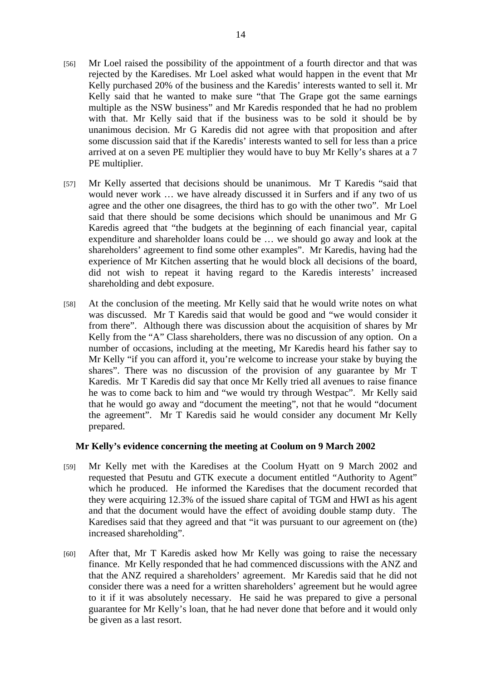- [56] Mr Loel raised the possibility of the appointment of a fourth director and that was rejected by the Karedises. Mr Loel asked what would happen in the event that Mr Kelly purchased 20% of the business and the Karedis' interests wanted to sell it. Mr Kelly said that he wanted to make sure "that The Grape got the same earnings multiple as the NSW business" and Mr Karedis responded that he had no problem with that. Mr Kelly said that if the business was to be sold it should be by unanimous decision. Mr G Karedis did not agree with that proposition and after some discussion said that if the Karedis' interests wanted to sell for less than a price arrived at on a seven PE multiplier they would have to buy Mr Kelly's shares at a 7 PE multiplier.
- [57] Mr Kelly asserted that decisions should be unanimous. Mr T Karedis "said that would never work … we have already discussed it in Surfers and if any two of us agree and the other one disagrees, the third has to go with the other two". Mr Loel said that there should be some decisions which should be unanimous and Mr G Karedis agreed that "the budgets at the beginning of each financial year, capital expenditure and shareholder loans could be … we should go away and look at the shareholders' agreement to find some other examples". Mr Karedis, having had the experience of Mr Kitchen asserting that he would block all decisions of the board, did not wish to repeat it having regard to the Karedis interests' increased shareholding and debt exposure.
- [58] At the conclusion of the meeting. Mr Kelly said that he would write notes on what was discussed. Mr T Karedis said that would be good and "we would consider it from there". Although there was discussion about the acquisition of shares by Mr Kelly from the "A" Class shareholders, there was no discussion of any option. On a number of occasions, including at the meeting, Mr Karedis heard his father say to Mr Kelly "if you can afford it, you're welcome to increase your stake by buying the shares". There was no discussion of the provision of any guarantee by Mr T Karedis. Mr T Karedis did say that once Mr Kelly tried all avenues to raise finance he was to come back to him and "we would try through Westpac". Mr Kelly said that he would go away and "document the meeting", not that he would "document the agreement". Mr T Karedis said he would consider any document Mr Kelly prepared.

## **Mr Kelly's evidence concerning the meeting at Coolum on 9 March 2002**

- [59] Mr Kelly met with the Karedises at the Coolum Hyatt on 9 March 2002 and requested that Pesutu and GTK execute a document entitled "Authority to Agent" which he produced. He informed the Karedises that the document recorded that they were acquiring 12.3% of the issued share capital of TGM and HWI as his agent and that the document would have the effect of avoiding double stamp duty. The Karedises said that they agreed and that "it was pursuant to our agreement on (the) increased shareholding".
- [60] After that, Mr T Karedis asked how Mr Kelly was going to raise the necessary finance. Mr Kelly responded that he had commenced discussions with the ANZ and that the ANZ required a shareholders' agreement. Mr Karedis said that he did not consider there was a need for a written shareholders' agreement but he would agree to it if it was absolutely necessary. He said he was prepared to give a personal guarantee for Mr Kelly's loan, that he had never done that before and it would only be given as a last resort.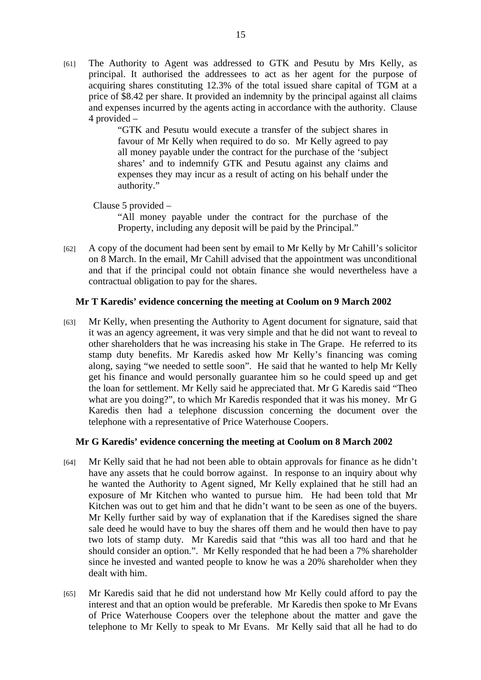[61] The Authority to Agent was addressed to GTK and Pesutu by Mrs Kelly, as principal. It authorised the addressees to act as her agent for the purpose of acquiring shares constituting 12.3% of the total issued share capital of TGM at a price of \$8.42 per share. It provided an indemnity by the principal against all claims and expenses incurred by the agents acting in accordance with the authority. Clause 4 provided –

> "GTK and Pesutu would execute a transfer of the subject shares in favour of Mr Kelly when required to do so. Mr Kelly agreed to pay all money payable under the contract for the purchase of the 'subject shares' and to indemnify GTK and Pesutu against any claims and expenses they may incur as a result of acting on his behalf under the authority."

Clause 5 provided –

"All money payable under the contract for the purchase of the Property, including any deposit will be paid by the Principal."

[62] A copy of the document had been sent by email to Mr Kelly by Mr Cahill's solicitor on 8 March. In the email, Mr Cahill advised that the appointment was unconditional and that if the principal could not obtain finance she would nevertheless have a contractual obligation to pay for the shares.

## **Mr T Karedis' evidence concerning the meeting at Coolum on 9 March 2002**

[63] Mr Kelly, when presenting the Authority to Agent document for signature, said that it was an agency agreement, it was very simple and that he did not want to reveal to other shareholders that he was increasing his stake in The Grape. He referred to its stamp duty benefits. Mr Karedis asked how Mr Kelly's financing was coming along, saying "we needed to settle soon". He said that he wanted to help Mr Kelly get his finance and would personally guarantee him so he could speed up and get the loan for settlement. Mr Kelly said he appreciated that. Mr G Karedis said "Theo what are you doing?", to which Mr Karedis responded that it was his money. Mr G Karedis then had a telephone discussion concerning the document over the telephone with a representative of Price Waterhouse Coopers.

## **Mr G Karedis' evidence concerning the meeting at Coolum on 8 March 2002**

- [64] Mr Kelly said that he had not been able to obtain approvals for finance as he didn't have any assets that he could borrow against. In response to an inquiry about why he wanted the Authority to Agent signed, Mr Kelly explained that he still had an exposure of Mr Kitchen who wanted to pursue him. He had been told that Mr Kitchen was out to get him and that he didn't want to be seen as one of the buyers. Mr Kelly further said by way of explanation that if the Karedises signed the share sale deed he would have to buy the shares off them and he would then have to pay two lots of stamp duty. Mr Karedis said that "this was all too hard and that he should consider an option.". Mr Kelly responded that he had been a 7% shareholder since he invested and wanted people to know he was a 20% shareholder when they dealt with him.
- [65] Mr Karedis said that he did not understand how Mr Kelly could afford to pay the interest and that an option would be preferable. Mr Karedis then spoke to Mr Evans of Price Waterhouse Coopers over the telephone about the matter and gave the telephone to Mr Kelly to speak to Mr Evans. Mr Kelly said that all he had to do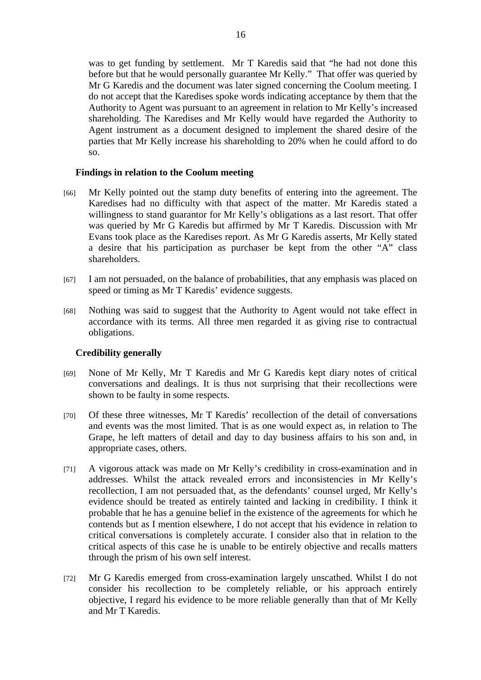was to get funding by settlement. Mr T Karedis said that "he had not done this before but that he would personally guarantee Mr Kelly." That offer was queried by Mr G Karedis and the document was later signed concerning the Coolum meeting. I do not accept that the Karedises spoke words indicating acceptance by them that the Authority to Agent was pursuant to an agreement in relation to Mr Kelly's increased shareholding. The Karedises and Mr Kelly would have regarded the Authority to Agent instrument as a document designed to implement the shared desire of the parties that Mr Kelly increase his shareholding to 20% when he could afford to do so.

#### **Findings in relation to the Coolum meeting**

- [66] Mr Kelly pointed out the stamp duty benefits of entering into the agreement. The Karedises had no difficulty with that aspect of the matter. Mr Karedis stated a willingness to stand guarantor for Mr Kelly's obligations as a last resort. That offer was queried by Mr G Karedis but affirmed by Mr T Karedis. Discussion with Mr Evans took place as the Karedises report. As Mr G Karedis asserts, Mr Kelly stated a desire that his participation as purchaser be kept from the other "A" class shareholders.
- [67] I am not persuaded, on the balance of probabilities, that any emphasis was placed on speed or timing as Mr T Karedis' evidence suggests.
- [68] Nothing was said to suggest that the Authority to Agent would not take effect in accordance with its terms. All three men regarded it as giving rise to contractual obligations.

## **Credibility generally**

- [69] None of Mr Kelly, Mr T Karedis and Mr G Karedis kept diary notes of critical conversations and dealings. It is thus not surprising that their recollections were shown to be faulty in some respects.
- [70] Of these three witnesses, Mr T Karedis' recollection of the detail of conversations and events was the most limited. That is as one would expect as, in relation to The Grape, he left matters of detail and day to day business affairs to his son and, in appropriate cases, others.
- [71] A vigorous attack was made on Mr Kelly's credibility in cross-examination and in addresses. Whilst the attack revealed errors and inconsistencies in Mr Kelly's recollection, I am not persuaded that, as the defendants' counsel urged, Mr Kelly's evidence should be treated as entirely tainted and lacking in credibility. I think it probable that he has a genuine belief in the existence of the agreements for which he contends but as I mention elsewhere, I do not accept that his evidence in relation to critical conversations is completely accurate. I consider also that in relation to the critical aspects of this case he is unable to be entirely objective and recalls matters through the prism of his own self interest.
- [72] Mr G Karedis emerged from cross-examination largely unscathed. Whilst I do not consider his recollection to be completely reliable, or his approach entirely objective, I regard his evidence to be more reliable generally than that of Mr Kelly and Mr T Karedis.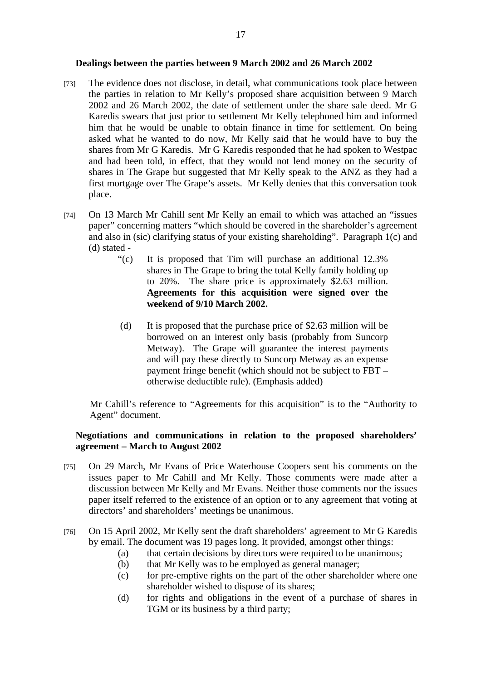#### **Dealings between the parties between 9 March 2002 and 26 March 2002**

- [73] The evidence does not disclose, in detail, what communications took place between the parties in relation to Mr Kelly's proposed share acquisition between 9 March 2002 and 26 March 2002, the date of settlement under the share sale deed. Mr G Karedis swears that just prior to settlement Mr Kelly telephoned him and informed him that he would be unable to obtain finance in time for settlement. On being asked what he wanted to do now, Mr Kelly said that he would have to buy the shares from Mr G Karedis. Mr G Karedis responded that he had spoken to Westpac and had been told, in effect, that they would not lend money on the security of shares in The Grape but suggested that Mr Kelly speak to the ANZ as they had a first mortgage over The Grape's assets. Mr Kelly denies that this conversation took place.
- [74] On 13 March Mr Cahill sent Mr Kelly an email to which was attached an "issues paper" concerning matters "which should be covered in the shareholder's agreement and also in (sic) clarifying status of your existing shareholding". Paragraph 1(c) and (d) stated -
	- "(c) It is proposed that Tim will purchase an additional 12.3% shares in The Grape to bring the total Kelly family holding up to 20%. The share price is approximately \$2.63 million. **Agreements for this acquisition were signed over the weekend of 9/10 March 2002.**
	- (d) It is proposed that the purchase price of \$2.63 million will be borrowed on an interest only basis (probably from Suncorp Metway). The Grape will guarantee the interest payments and will pay these directly to Suncorp Metway as an expense payment fringe benefit (which should not be subject to FBT – otherwise deductible rule). (Emphasis added)

Mr Cahill's reference to "Agreements for this acquisition" is to the "Authority to Agent" document.

## **Negotiations and communications in relation to the proposed shareholders' agreement – March to August 2002**

- [75] On 29 March, Mr Evans of Price Waterhouse Coopers sent his comments on the issues paper to Mr Cahill and Mr Kelly. Those comments were made after a discussion between Mr Kelly and Mr Evans. Neither those comments nor the issues paper itself referred to the existence of an option or to any agreement that voting at directors' and shareholders' meetings be unanimous.
- [76] On 15 April 2002, Mr Kelly sent the draft shareholders' agreement to Mr G Karedis by email. The document was 19 pages long. It provided, amongst other things:
	- (a) that certain decisions by directors were required to be unanimous;
	- (b) that Mr Kelly was to be employed as general manager;
	- (c) for pre-emptive rights on the part of the other shareholder where one shareholder wished to dispose of its shares;
	- (d) for rights and obligations in the event of a purchase of shares in TGM or its business by a third party;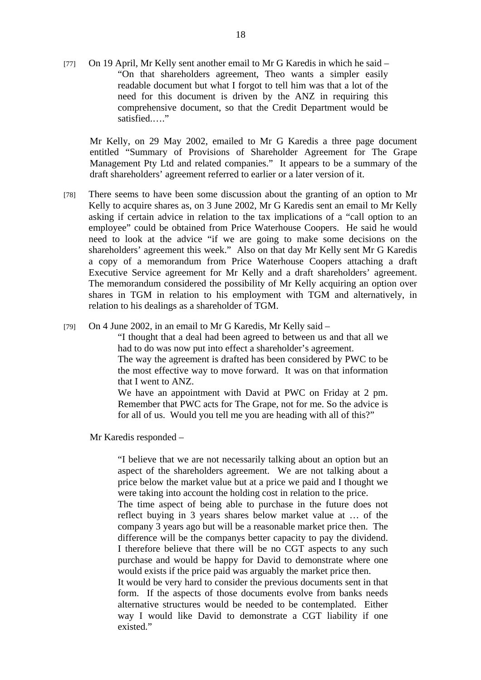[77] On 19 April, Mr Kelly sent another email to Mr G Karedis in which he said – "On that shareholders agreement, Theo wants a simpler easily readable document but what I forgot to tell him was that a lot of the need for this document is driven by the ANZ in requiring this comprehensive document, so that the Credit Department would be satisfied....."

Mr Kelly, on 29 May 2002, emailed to Mr G Karedis a three page document entitled "Summary of Provisions of Shareholder Agreement for The Grape Management Pty Ltd and related companies." It appears to be a summary of the draft shareholders' agreement referred to earlier or a later version of it.

- [78] There seems to have been some discussion about the granting of an option to Mr Kelly to acquire shares as, on 3 June 2002, Mr G Karedis sent an email to Mr Kelly asking if certain advice in relation to the tax implications of a "call option to an employee" could be obtained from Price Waterhouse Coopers. He said he would need to look at the advice "if we are going to make some decisions on the shareholders' agreement this week." Also on that day Mr Kelly sent Mr G Karedis a copy of a memorandum from Price Waterhouse Coopers attaching a draft Executive Service agreement for Mr Kelly and a draft shareholders' agreement. The memorandum considered the possibility of Mr Kelly acquiring an option over shares in TGM in relation to his employment with TGM and alternatively, in relation to his dealings as a shareholder of TGM.
- [79] On 4 June 2002, in an email to Mr G Karedis, Mr Kelly said –

"I thought that a deal had been agreed to between us and that all we had to do was now put into effect a shareholder's agreement.

The way the agreement is drafted has been considered by PWC to be the most effective way to move forward. It was on that information that I went to ANZ.

We have an appointment with David at PWC on Friday at 2 pm. Remember that PWC acts for The Grape, not for me. So the advice is for all of us. Would you tell me you are heading with all of this?"

Mr Karedis responded –

"I believe that we are not necessarily talking about an option but an aspect of the shareholders agreement. We are not talking about a price below the market value but at a price we paid and I thought we were taking into account the holding cost in relation to the price.

The time aspect of being able to purchase in the future does not reflect buying in 3 years shares below market value at … of the company 3 years ago but will be a reasonable market price then. The difference will be the companys better capacity to pay the dividend. I therefore believe that there will be no CGT aspects to any such purchase and would be happy for David to demonstrate where one would exists if the price paid was arguably the market price then.

It would be very hard to consider the previous documents sent in that form. If the aspects of those documents evolve from banks needs alternative structures would be needed to be contemplated. Either way I would like David to demonstrate a CGT liability if one existed."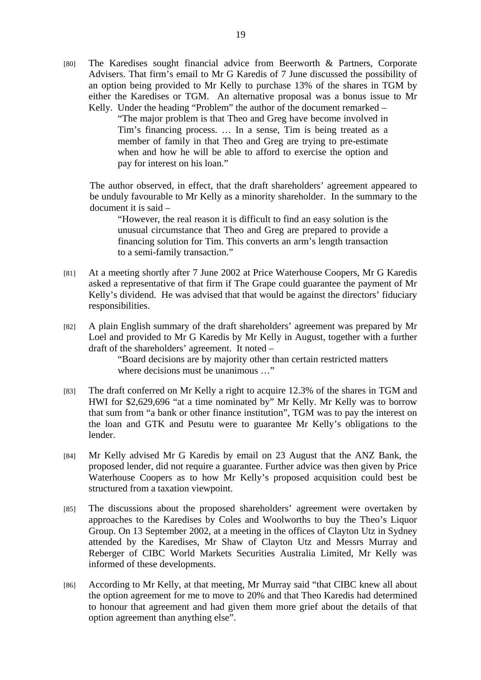[80] The Karedises sought financial advice from Beerworth & Partners, Corporate Advisers. That firm's email to Mr G Karedis of 7 June discussed the possibility of an option being provided to Mr Kelly to purchase 13% of the shares in TGM by either the Karedises or TGM. An alternative proposal was a bonus issue to Mr Kelly. Under the heading "Problem" the author of the document remarked –

> "The major problem is that Theo and Greg have become involved in Tim's financing process. … In a sense, Tim is being treated as a member of family in that Theo and Greg are trying to pre-estimate when and how he will be able to afford to exercise the option and pay for interest on his loan."

The author observed, in effect, that the draft shareholders' agreement appeared to be unduly favourable to Mr Kelly as a minority shareholder. In the summary to the document it is said –

"However, the real reason it is difficult to find an easy solution is the unusual circumstance that Theo and Greg are prepared to provide a financing solution for Tim. This converts an arm's length transaction to a semi-family transaction."

- [81] At a meeting shortly after 7 June 2002 at Price Waterhouse Coopers, Mr G Karedis asked a representative of that firm if The Grape could guarantee the payment of Mr Kelly's dividend. He was advised that that would be against the directors' fiduciary responsibilities.
- [82] A plain English summary of the draft shareholders' agreement was prepared by Mr Loel and provided to Mr G Karedis by Mr Kelly in August, together with a further draft of the shareholders' agreement. It noted –

"Board decisions are by majority other than certain restricted matters where decisions must be unanimous ..."

- [83] The draft conferred on Mr Kelly a right to acquire 12.3% of the shares in TGM and HWI for \$2,629,696 "at a time nominated by" Mr Kelly. Mr Kelly was to borrow that sum from "a bank or other finance institution", TGM was to pay the interest on the loan and GTK and Pesutu were to guarantee Mr Kelly's obligations to the lender.
- [84] Mr Kelly advised Mr G Karedis by email on 23 August that the ANZ Bank, the proposed lender, did not require a guarantee. Further advice was then given by Price Waterhouse Coopers as to how Mr Kelly's proposed acquisition could best be structured from a taxation viewpoint.
- [85] The discussions about the proposed shareholders' agreement were overtaken by approaches to the Karedises by Coles and Woolworths to buy the Theo's Liquor Group. On 13 September 2002, at a meeting in the offices of Clayton Utz in Sydney attended by the Karedises, Mr Shaw of Clayton Utz and Messrs Murray and Reberger of CIBC World Markets Securities Australia Limited, Mr Kelly was informed of these developments.
- [86] According to Mr Kelly, at that meeting, Mr Murray said "that CIBC knew all about the option agreement for me to move to 20% and that Theo Karedis had determined to honour that agreement and had given them more grief about the details of that option agreement than anything else".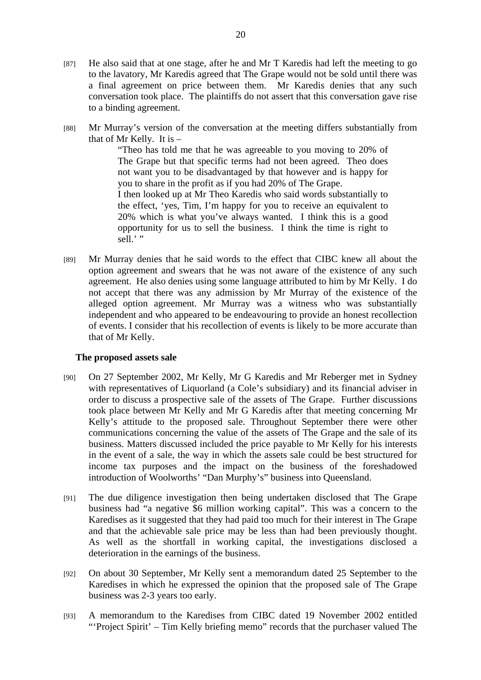- [87] He also said that at one stage, after he and Mr T Karedis had left the meeting to go to the lavatory, Mr Karedis agreed that The Grape would not be sold until there was a final agreement on price between them. Mr Karedis denies that any such conversation took place. The plaintiffs do not assert that this conversation gave rise to a binding agreement.
- [88] Mr Murray's version of the conversation at the meeting differs substantially from that of Mr Kelly. It is –

"Theo has told me that he was agreeable to you moving to 20% of The Grape but that specific terms had not been agreed. Theo does not want you to be disadvantaged by that however and is happy for you to share in the profit as if you had 20% of The Grape. I then looked up at Mr Theo Karedis who said words substantially to the effect, 'yes, Tim, I'm happy for you to receive an equivalent to 20% which is what you've always wanted. I think this is a good opportunity for us to sell the business. I think the time is right to sell.' "

[89] Mr Murray denies that he said words to the effect that CIBC knew all about the option agreement and swears that he was not aware of the existence of any such agreement. He also denies using some language attributed to him by Mr Kelly. I do not accept that there was any admission by Mr Murray of the existence of the alleged option agreement. Mr Murray was a witness who was substantially independent and who appeared to be endeavouring to provide an honest recollection of events. I consider that his recollection of events is likely to be more accurate than that of Mr Kelly.

## **The proposed assets sale**

- [90] On 27 September 2002, Mr Kelly, Mr G Karedis and Mr Reberger met in Sydney with representatives of Liquorland (a Cole's subsidiary) and its financial adviser in order to discuss a prospective sale of the assets of The Grape. Further discussions took place between Mr Kelly and Mr G Karedis after that meeting concerning Mr Kelly's attitude to the proposed sale. Throughout September there were other communications concerning the value of the assets of The Grape and the sale of its business. Matters discussed included the price payable to Mr Kelly for his interests in the event of a sale, the way in which the assets sale could be best structured for income tax purposes and the impact on the business of the foreshadowed introduction of Woolworths' "Dan Murphy's" business into Queensland.
- [91] The due diligence investigation then being undertaken disclosed that The Grape business had "a negative \$6 million working capital". This was a concern to the Karedises as it suggested that they had paid too much for their interest in The Grape and that the achievable sale price may be less than had been previously thought. As well as the shortfall in working capital, the investigations disclosed a deterioration in the earnings of the business.
- [92] On about 30 September, Mr Kelly sent a memorandum dated 25 September to the Karedises in which he expressed the opinion that the proposed sale of The Grape business was 2-3 years too early.
- [93] A memorandum to the Karedises from CIBC dated 19 November 2002 entitled "'Project Spirit' – Tim Kelly briefing memo" records that the purchaser valued The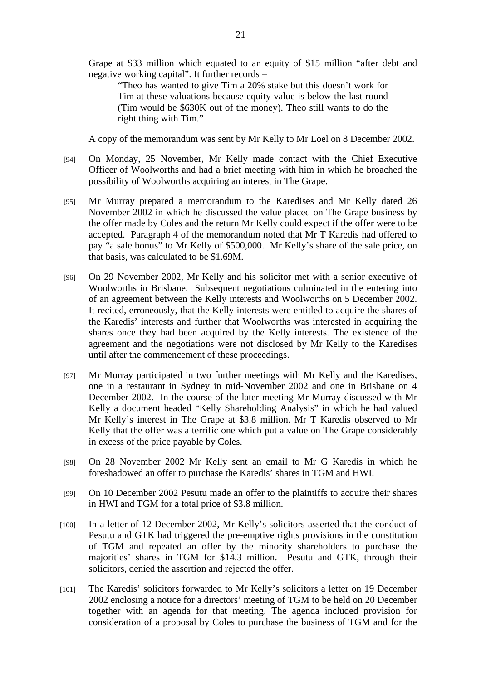Grape at \$33 million which equated to an equity of \$15 million "after debt and negative working capital". It further records –

"Theo has wanted to give Tim a 20% stake but this doesn't work for Tim at these valuations because equity value is below the last round (Tim would be \$630K out of the money). Theo still wants to do the right thing with Tim."

A copy of the memorandum was sent by Mr Kelly to Mr Loel on 8 December 2002.

- [94] On Monday, 25 November, Mr Kelly made contact with the Chief Executive Officer of Woolworths and had a brief meeting with him in which he broached the possibility of Woolworths acquiring an interest in The Grape.
- [95] Mr Murray prepared a memorandum to the Karedises and Mr Kelly dated 26 November 2002 in which he discussed the value placed on The Grape business by the offer made by Coles and the return Mr Kelly could expect if the offer were to be accepted. Paragraph 4 of the memorandum noted that Mr T Karedis had offered to pay "a sale bonus" to Mr Kelly of \$500,000. Mr Kelly's share of the sale price, on that basis, was calculated to be \$1.69M.
- [96] On 29 November 2002, Mr Kelly and his solicitor met with a senior executive of Woolworths in Brisbane. Subsequent negotiations culminated in the entering into of an agreement between the Kelly interests and Woolworths on 5 December 2002. It recited, erroneously, that the Kelly interests were entitled to acquire the shares of the Karedis' interests and further that Woolworths was interested in acquiring the shares once they had been acquired by the Kelly interests. The existence of the agreement and the negotiations were not disclosed by Mr Kelly to the Karedises until after the commencement of these proceedings.
- [97] Mr Murray participated in two further meetings with Mr Kelly and the Karedises, one in a restaurant in Sydney in mid-November 2002 and one in Brisbane on 4 December 2002. In the course of the later meeting Mr Murray discussed with Mr Kelly a document headed "Kelly Shareholding Analysis" in which he had valued Mr Kelly's interest in The Grape at \$3.8 million. Mr T Karedis observed to Mr Kelly that the offer was a terrific one which put a value on The Grape considerably in excess of the price payable by Coles.
- [98] On 28 November 2002 Mr Kelly sent an email to Mr G Karedis in which he foreshadowed an offer to purchase the Karedis' shares in TGM and HWI.
- [99] On 10 December 2002 Pesutu made an offer to the plaintiffs to acquire their shares in HWI and TGM for a total price of \$3.8 million.
- [100] In a letter of 12 December 2002, Mr Kelly's solicitors asserted that the conduct of Pesutu and GTK had triggered the pre-emptive rights provisions in the constitution of TGM and repeated an offer by the minority shareholders to purchase the majorities' shares in TGM for \$14.3 million. Pesutu and GTK, through their solicitors, denied the assertion and rejected the offer.
- [101] The Karedis' solicitors forwarded to Mr Kelly's solicitors a letter on 19 December 2002 enclosing a notice for a directors' meeting of TGM to be held on 20 December together with an agenda for that meeting. The agenda included provision for consideration of a proposal by Coles to purchase the business of TGM and for the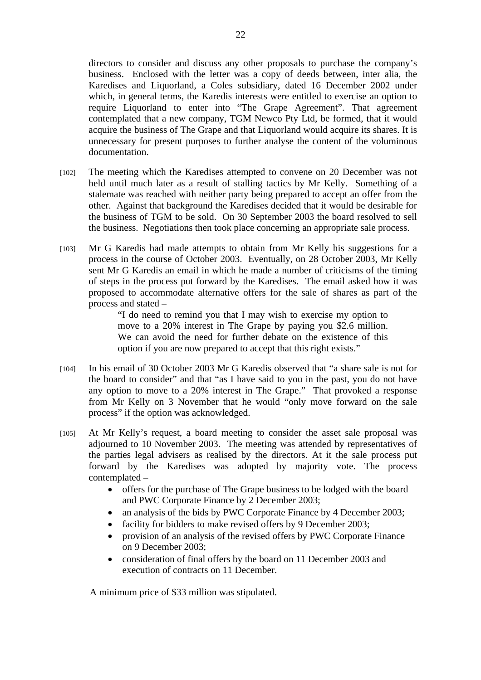directors to consider and discuss any other proposals to purchase the company's business. Enclosed with the letter was a copy of deeds between, inter alia, the Karedises and Liquorland, a Coles subsidiary, dated 16 December 2002 under which, in general terms, the Karedis interests were entitled to exercise an option to require Liquorland to enter into "The Grape Agreement". That agreement contemplated that a new company, TGM Newco Pty Ltd, be formed, that it would acquire the business of The Grape and that Liquorland would acquire its shares. It is unnecessary for present purposes to further analyse the content of the voluminous documentation.

- [102] The meeting which the Karedises attempted to convene on 20 December was not held until much later as a result of stalling tactics by Mr Kelly. Something of a stalemate was reached with neither party being prepared to accept an offer from the other. Against that background the Karedises decided that it would be desirable for the business of TGM to be sold. On 30 September 2003 the board resolved to sell the business. Negotiations then took place concerning an appropriate sale process.
- [103] Mr G Karedis had made attempts to obtain from Mr Kelly his suggestions for a process in the course of October 2003. Eventually, on 28 October 2003, Mr Kelly sent Mr G Karedis an email in which he made a number of criticisms of the timing of steps in the process put forward by the Karedises. The email asked how it was proposed to accommodate alternative offers for the sale of shares as part of the process and stated –

"I do need to remind you that I may wish to exercise my option to move to a 20% interest in The Grape by paying you \$2.6 million. We can avoid the need for further debate on the existence of this option if you are now prepared to accept that this right exists."

- [104] In his email of 30 October 2003 Mr G Karedis observed that "a share sale is not for the board to consider" and that "as I have said to you in the past, you do not have any option to move to a 20% interest in The Grape." That provoked a response from Mr Kelly on 3 November that he would "only move forward on the sale process" if the option was acknowledged.
- [105] At Mr Kelly's request, a board meeting to consider the asset sale proposal was adjourned to 10 November 2003. The meeting was attended by representatives of the parties legal advisers as realised by the directors. At it the sale process put forward by the Karedises was adopted by majority vote. The process contemplated –
	- offers for the purchase of The Grape business to be lodged with the board and PWC Corporate Finance by 2 December 2003;
	- an analysis of the bids by PWC Corporate Finance by 4 December 2003;
	- facility for bidders to make revised offers by 9 December 2003;
	- provision of an analysis of the revised offers by PWC Corporate Finance on 9 December 2003;
	- consideration of final offers by the board on 11 December 2003 and execution of contracts on 11 December.

A minimum price of \$33 million was stipulated.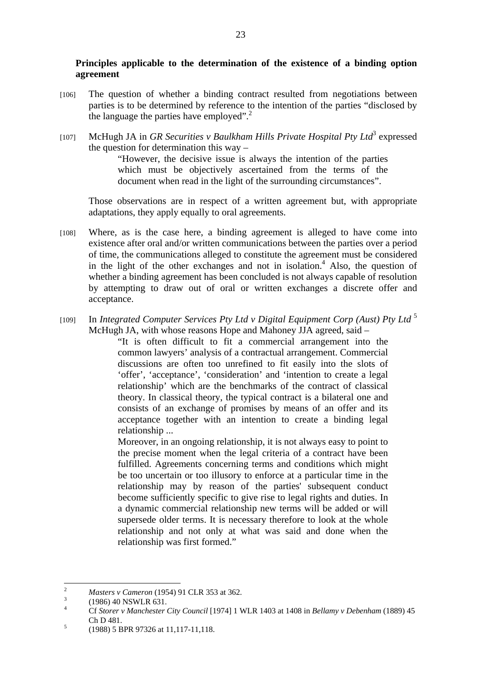# **Principles applicable to the determination of the existence of a binding option agreement**

- [106] The question of whether a binding contract resulted from negotiations between parties is to be determined by reference to the intention of the parties "disclosed by the language the parties have employed". $^{2}$
- [107] McHugh JA in *GR Securities v Baulkham Hills Private Hospital Pty Ltd*<sup>3</sup> expressed the question for determination this way –

"However, the decisive issue is always the intention of the parties which must be objectively ascertained from the terms of the document when read in the light of the surrounding circumstances".

Those observations are in respect of a written agreement but, with appropriate adaptations, they apply equally to oral agreements.

- [108] Where, as is the case here, a binding agreement is alleged to have come into existence after oral and/or written communications between the parties over a period of time, the communications alleged to constitute the agreement must be considered in the light of the other exchanges and not in isolation. $4$  Also, the question of whether a binding agreement has been concluded is not always capable of resolution by attempting to draw out of oral or written exchanges a discrete offer and acceptance.
- [109] In *Integrated Computer Services Pty Ltd v Digital Equipment Corp (Aust) Pty Ltd* <sup>5</sup> McHugh JA, with whose reasons Hope and Mahoney JJA agreed, said –

"It is often difficult to fit a commercial arrangement into the common lawyers' analysis of a contractual arrangement. Commercial discussions are often too unrefined to fit easily into the slots of 'offer', 'acceptance', 'consideration' and 'intention to create a legal relationship' which are the benchmarks of the contract of classical theory. In classical theory, the typical contract is a bilateral one and consists of an exchange of promises by means of an offer and its acceptance together with an intention to create a binding legal relationship ...

Moreover, in an ongoing relationship, it is not always easy to point to the precise moment when the legal criteria of a contract have been fulfilled. Agreements concerning terms and conditions which might be too uncertain or too illusory to enforce at a particular time in the relationship may by reason of the parties' subsequent conduct become sufficiently specific to give rise to legal rights and duties. In a dynamic commercial relationship new terms will be added or will supersede older terms. It is necessary therefore to look at the whole relationship and not only at what was said and done when the relationship was first formed."

 $\frac{1}{2}$ *Masters v Cameron* (1954) 91 CLR 353 at 362.

 <sup>(1986) 40</sup> NSWLR 631.

<sup>4</sup> Cf *Storer v Manchester City Council* [1974] 1 WLR 1403 at 1408 in *Bellamy v Debenham* (1889) 45 Ch D 481.

 <sup>(1988) 5</sup> BPR 97326 at 11,117-11,118.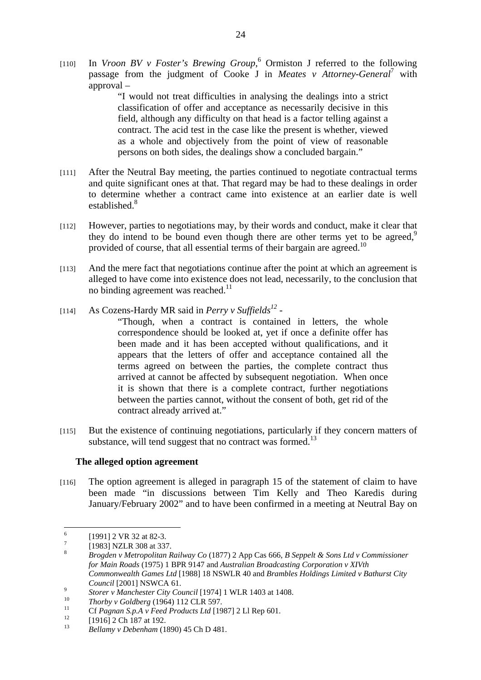[110] In *Vroon BV v Foster's Brewing Group*, 6 Ormiston J referred to the following passage from the judgment of Cooke J in *Meates v Attorney-General*<sup>7</sup> with approval –

> "I would not treat difficulties in analysing the dealings into a strict classification of offer and acceptance as necessarily decisive in this field, although any difficulty on that head is a factor telling against a contract. The acid test in the case like the present is whether, viewed as a whole and objectively from the point of view of reasonable persons on both sides, the dealings show a concluded bargain."

- [111] After the Neutral Bay meeting, the parties continued to negotiate contractual terms and quite significant ones at that. That regard may be had to these dealings in order to determine whether a contract came into existence at an earlier date is well established.<sup>8</sup>
- [112] However, parties to negotiations may, by their words and conduct, make it clear that they do intend to be bound even though there are other terms vet to be agreed.<sup>9</sup> provided of course, that all essential terms of their bargain are agreed.<sup>10</sup>
- [113] And the mere fact that negotiations continue after the point at which an agreement is alleged to have come into existence does not lead, necessarily, to the conclusion that no binding agreement was reached.<sup>11</sup>
- [114] As Cozens-Hardy MR said in *Perry v Suffields*<sup>12</sup> -

"Though, when a contract is contained in letters, the whole correspondence should be looked at, yet if once a definite offer has been made and it has been accepted without qualifications, and it appears that the letters of offer and acceptance contained all the terms agreed on between the parties, the complete contract thus arrived at cannot be affected by subsequent negotiation. When once it is shown that there is a complete contract, further negotiations between the parties cannot, without the consent of both, get rid of the contract already arrived at."

[115] But the existence of continuing negotiations, particularly if they concern matters of substance, will tend suggest that no contract was formed.<sup>13</sup>

## **The alleged option agreement**

[116] The option agreement is alleged in paragraph 15 of the statement of claim to have been made "in discussions between Tim Kelly and Theo Karedis during January/February 2002" and to have been confirmed in a meeting at Neutral Bay on

 6 [1991] 2 VR 32 at 82-3. 7

 <sup>[1983]</sup> NZLR 308 at 337.

<sup>8</sup> *Brogden v Metropolitan Railway Co* (1877) 2 App Cas 666, *B Seppelt & Sons Ltd v Commissioner for Main Roads* (1975) 1 BPR 9147 and *Australian Broadcasting Corporation v XIVth Commonwealth Games Ltd* [1988] 18 NSWLR 40 and *Brambles Holdings Limited v Bathurst City Council* [2001] NSWCA 61.

<sup>&</sup>lt;sup>9</sup> *Storer v Manchester City Council* [1974] 1 WLR 1403 at 1408.<br><sup>10</sup> *Thorby v Goldberg* (1964) 112 CLR 597.<br><sup>12</sup> Cf *Pagnan S.p.A v Feed Products Ltd* [1987] 2 Ll Rep 601.<br><sup>12</sup> [1916] 2 Ch 187 at 192.

<sup>13</sup> *Bellamy v Debenham* (1890) 45 Ch D 481.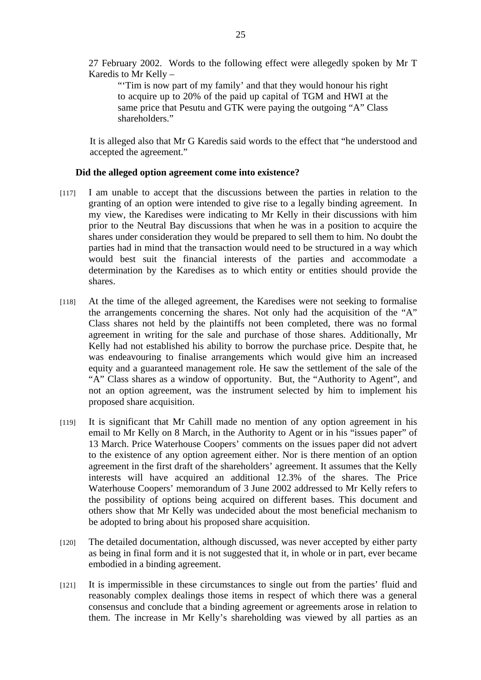27 February 2002. Words to the following effect were allegedly spoken by Mr T Karedis to Mr Kelly –

"Tim is now part of my family' and that they would honour his right to acquire up to 20% of the paid up capital of TGM and HWI at the same price that Pesutu and GTK were paying the outgoing "A" Class shareholders."

It is alleged also that Mr G Karedis said words to the effect that "he understood and accepted the agreement."

## **Did the alleged option agreement come into existence?**

- [117] I am unable to accept that the discussions between the parties in relation to the granting of an option were intended to give rise to a legally binding agreement. In my view, the Karedises were indicating to Mr Kelly in their discussions with him prior to the Neutral Bay discussions that when he was in a position to acquire the shares under consideration they would be prepared to sell them to him. No doubt the parties had in mind that the transaction would need to be structured in a way which would best suit the financial interests of the parties and accommodate a determination by the Karedises as to which entity or entities should provide the shares.
- [118] At the time of the alleged agreement, the Karedises were not seeking to formalise the arrangements concerning the shares. Not only had the acquisition of the "A" Class shares not held by the plaintiffs not been completed, there was no formal agreement in writing for the sale and purchase of those shares. Additionally, Mr Kelly had not established his ability to borrow the purchase price. Despite that, he was endeavouring to finalise arrangements which would give him an increased equity and a guaranteed management role. He saw the settlement of the sale of the "A" Class shares as a window of opportunity. But, the "Authority to Agent", and not an option agreement, was the instrument selected by him to implement his proposed share acquisition.
- [119] It is significant that Mr Cahill made no mention of any option agreement in his email to Mr Kelly on 8 March, in the Authority to Agent or in his "issues paper" of 13 March. Price Waterhouse Coopers' comments on the issues paper did not advert to the existence of any option agreement either. Nor is there mention of an option agreement in the first draft of the shareholders' agreement. It assumes that the Kelly interests will have acquired an additional 12.3% of the shares. The Price Waterhouse Coopers' memorandum of 3 June 2002 addressed to Mr Kelly refers to the possibility of options being acquired on different bases. This document and others show that Mr Kelly was undecided about the most beneficial mechanism to be adopted to bring about his proposed share acquisition.
- [120] The detailed documentation, although discussed, was never accepted by either party as being in final form and it is not suggested that it, in whole or in part, ever became embodied in a binding agreement.
- [121] It is impermissible in these circumstances to single out from the parties' fluid and reasonably complex dealings those items in respect of which there was a general consensus and conclude that a binding agreement or agreements arose in relation to them. The increase in Mr Kelly's shareholding was viewed by all parties as an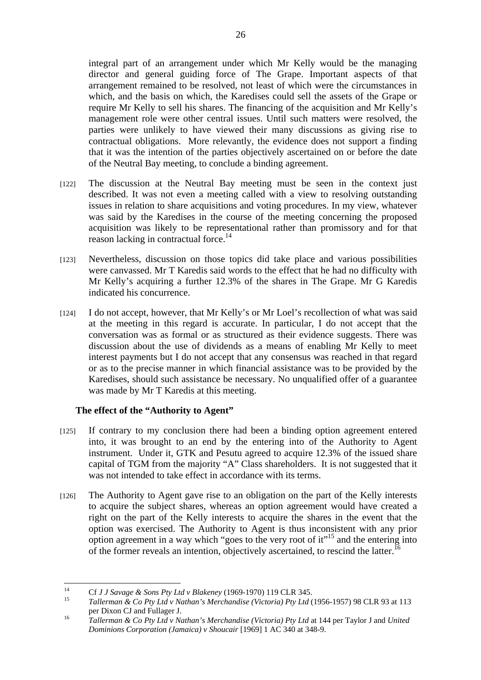integral part of an arrangement under which Mr Kelly would be the managing director and general guiding force of The Grape. Important aspects of that arrangement remained to be resolved, not least of which were the circumstances in which, and the basis on which, the Karedises could sell the assets of the Grape or require Mr Kelly to sell his shares. The financing of the acquisition and Mr Kelly's management role were other central issues. Until such matters were resolved, the parties were unlikely to have viewed their many discussions as giving rise to contractual obligations. More relevantly, the evidence does not support a finding that it was the intention of the parties objectively ascertained on or before the date of the Neutral Bay meeting, to conclude a binding agreement.

- [122] The discussion at the Neutral Bay meeting must be seen in the context just described. It was not even a meeting called with a view to resolving outstanding issues in relation to share acquisitions and voting procedures. In my view, whatever was said by the Karedises in the course of the meeting concerning the proposed acquisition was likely to be representational rather than promissory and for that reason lacking in contractual force.<sup>14</sup>
- [123] Nevertheless, discussion on those topics did take place and various possibilities were canvassed. Mr T Karedis said words to the effect that he had no difficulty with Mr Kelly's acquiring a further 12.3% of the shares in The Grape. Mr G Karedis indicated his concurrence.
- [124] I do not accept, however, that Mr Kelly's or Mr Loel's recollection of what was said at the meeting in this regard is accurate. In particular, I do not accept that the conversation was as formal or as structured as their evidence suggests. There was discussion about the use of dividends as a means of enabling Mr Kelly to meet interest payments but I do not accept that any consensus was reached in that regard or as to the precise manner in which financial assistance was to be provided by the Karedises, should such assistance be necessary. No unqualified offer of a guarantee was made by Mr T Karedis at this meeting.

# **The effect of the "Authority to Agent"**

- [125] If contrary to my conclusion there had been a binding option agreement entered into, it was brought to an end by the entering into of the Authority to Agent instrument. Under it, GTK and Pesutu agreed to acquire 12.3% of the issued share capital of TGM from the majority "A" Class shareholders. It is not suggested that it was not intended to take effect in accordance with its terms.
- [126] The Authority to Agent gave rise to an obligation on the part of the Kelly interests to acquire the subject shares, whereas an option agreement would have created a right on the part of the Kelly interests to acquire the shares in the event that the option was exercised. The Authority to Agent is thus inconsistent with any prior option agreement in a way which "goes to the very root of it"15 and the entering into of the former reveals an intention, objectively ascertained, to rescind the latter.<sup>16</sup>

 $14$ 

<sup>&</sup>lt;sup>14</sup> Cf *J J Savage & Sons Pty Ltd v Blakeney* (1969-1970) 119 CLR 345.<br><sup>15</sup> *Tallerman & Co Pty Ltd v Nathan's Merchandise (Victoria) Pty Ltd* (1956-1957) 98 CLR 93 at 113

per Dixon CJ and Fullager J. 16 *Tallerman & Co Pty Ltd v Nathan's Merchandise (Victoria) Pty Ltd* at 144 per Taylor J and *United Dominions Corporation (Jamaica) v Shoucair* [1969] 1 AC 340 at 348-9.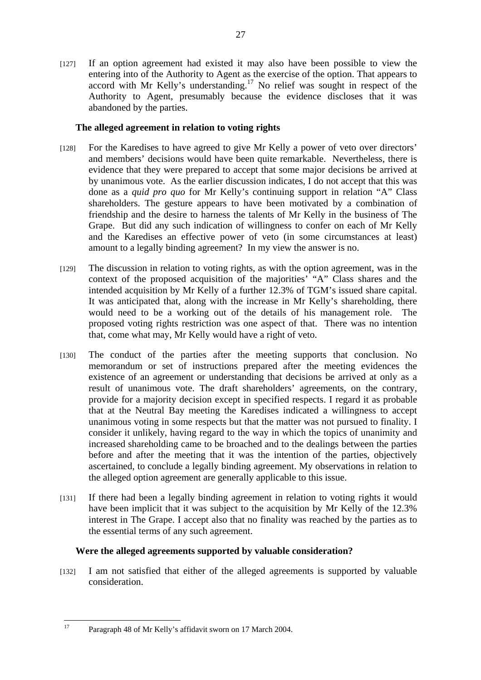[127] If an option agreement had existed it may also have been possible to view the entering into of the Authority to Agent as the exercise of the option. That appears to accord with Mr Kelly's understanding.<sup>17</sup> No relief was sought in respect of the Authority to Agent, presumably because the evidence discloses that it was abandoned by the parties.

# **The alleged agreement in relation to voting rights**

- [128] For the Karedises to have agreed to give Mr Kelly a power of veto over directors' and members' decisions would have been quite remarkable. Nevertheless, there is evidence that they were prepared to accept that some major decisions be arrived at by unanimous vote. As the earlier discussion indicates, I do not accept that this was done as a *quid pro quo* for Mr Kelly's continuing support in relation "A" Class shareholders. The gesture appears to have been motivated by a combination of friendship and the desire to harness the talents of Mr Kelly in the business of The Grape. But did any such indication of willingness to confer on each of Mr Kelly and the Karedises an effective power of veto (in some circumstances at least) amount to a legally binding agreement? In my view the answer is no.
- [129] The discussion in relation to voting rights, as with the option agreement, was in the context of the proposed acquisition of the majorities' "A" Class shares and the intended acquisition by Mr Kelly of a further 12.3% of TGM's issued share capital. It was anticipated that, along with the increase in Mr Kelly's shareholding, there would need to be a working out of the details of his management role. The proposed voting rights restriction was one aspect of that. There was no intention that, come what may, Mr Kelly would have a right of veto.
- [130] The conduct of the parties after the meeting supports that conclusion. No memorandum or set of instructions prepared after the meeting evidences the existence of an agreement or understanding that decisions be arrived at only as a result of unanimous vote. The draft shareholders' agreements, on the contrary, provide for a majority decision except in specified respects. I regard it as probable that at the Neutral Bay meeting the Karedises indicated a willingness to accept unanimous voting in some respects but that the matter was not pursued to finality. I consider it unlikely, having regard to the way in which the topics of unanimity and increased shareholding came to be broached and to the dealings between the parties before and after the meeting that it was the intention of the parties, objectively ascertained, to conclude a legally binding agreement. My observations in relation to the alleged option agreement are generally applicable to this issue.
- [131] If there had been a legally binding agreement in relation to voting rights it would have been implicit that it was subject to the acquisition by Mr Kelly of the 12.3% interest in The Grape. I accept also that no finality was reached by the parties as to the essential terms of any such agreement.

# **Were the alleged agreements supported by valuable consideration?**

[132] I am not satisfied that either of the alleged agreements is supported by valuable consideration.

 $17$ 17 Paragraph 48 of Mr Kelly's affidavit sworn on 17 March 2004.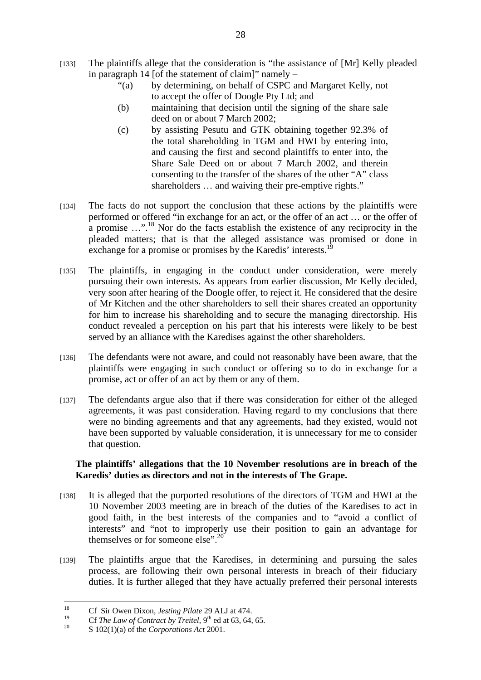- [133] The plaintiffs allege that the consideration is "the assistance of [Mr] Kelly pleaded in paragraph 14 [of the statement of claim]" namely –
	- "(a) by determining, on behalf of CSPC and Margaret Kelly, not to accept the offer of Doogle Pty Ltd; and
	- (b) maintaining that decision until the signing of the share sale deed on or about 7 March 2002;
	- (c) by assisting Pesutu and GTK obtaining together 92.3% of the total shareholding in TGM and HWI by entering into, and causing the first and second plaintiffs to enter into, the Share Sale Deed on or about 7 March 2002, and therein consenting to the transfer of the shares of the other "A" class shareholders ... and waiving their pre-emptive rights."
- [134] The facts do not support the conclusion that these actions by the plaintiffs were performed or offered "in exchange for an act, or the offer of an act … or the offer of a promise  $\ldots$ <sup>18</sup>. Nor do the facts establish the existence of any reciprocity in the pleaded matters; that is that the alleged assistance was promised or done in exchange for a promise or promises by the Karedis' interests.<sup>1</sup>
- [135] The plaintiffs, in engaging in the conduct under consideration, were merely pursuing their own interests. As appears from earlier discussion, Mr Kelly decided, very soon after hearing of the Doogle offer, to reject it. He considered that the desire of Mr Kitchen and the other shareholders to sell their shares created an opportunity for him to increase his shareholding and to secure the managing directorship. His conduct revealed a perception on his part that his interests were likely to be best served by an alliance with the Karedises against the other shareholders.
- [136] The defendants were not aware, and could not reasonably have been aware, that the plaintiffs were engaging in such conduct or offering so to do in exchange for a promise, act or offer of an act by them or any of them.
- [137] The defendants argue also that if there was consideration for either of the alleged agreements, it was past consideration. Having regard to my conclusions that there were no binding agreements and that any agreements, had they existed, would not have been supported by valuable consideration, it is unnecessary for me to consider that question.

## **The plaintiffs' allegations that the 10 November resolutions are in breach of the Karedis' duties as directors and not in the interests of The Grape.**

- [138] It is alleged that the purported resolutions of the directors of TGM and HWI at the 10 November 2003 meeting are in breach of the duties of the Karedises to act in good faith, in the best interests of the companies and to "avoid a conflict of interests" and "not to improperly use their position to gain an advantage for themselves or for someone else".<sup>20</sup>
- [139] The plaintiffs argue that the Karedises, in determining and pursuing the sales process, are following their own personal interests in breach of their fiduciary duties. It is further alleged that they have actually preferred their personal interests

<sup>18</sup> 18 Cf Sir Owen Dixon, *Jesting Pilate* 29 ALJ at 474.

<sup>&</sup>lt;sup>19</sup> Cf *The Law of Contract by Treitel*, 9<sup>th</sup> ed at 63, 64, 65.<br>
S 102(1)(a) of the *Corporations Act* 2001.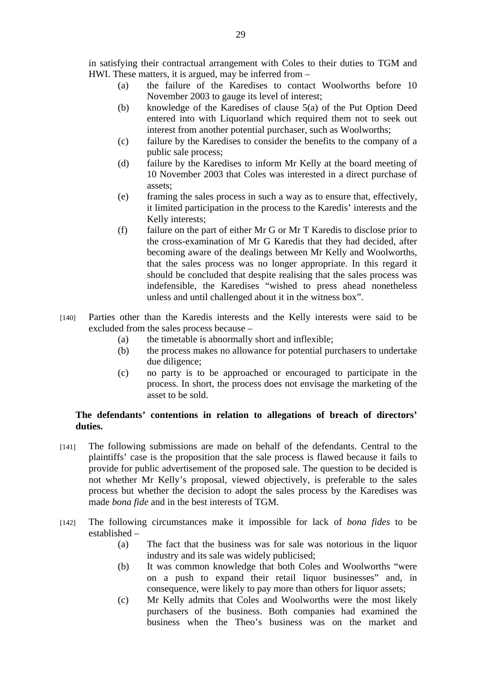in satisfying their contractual arrangement with Coles to their duties to TGM and HWI. These matters, it is argued, may be inferred from –

- (a) the failure of the Karedises to contact Woolworths before 10 November 2003 to gauge its level of interest;
- (b) knowledge of the Karedises of clause 5(a) of the Put Option Deed entered into with Liquorland which required them not to seek out interest from another potential purchaser, such as Woolworths;
- (c) failure by the Karedises to consider the benefits to the company of a public sale process;
- (d) failure by the Karedises to inform Mr Kelly at the board meeting of 10 November 2003 that Coles was interested in a direct purchase of assets;
- (e) framing the sales process in such a way as to ensure that, effectively, it limited participation in the process to the Karedis' interests and the Kelly interests;
- (f) failure on the part of either Mr G or Mr T Karedis to disclose prior to the cross-examination of Mr G Karedis that they had decided, after becoming aware of the dealings between Mr Kelly and Woolworths, that the sales process was no longer appropriate. In this regard it should be concluded that despite realising that the sales process was indefensible, the Karedises "wished to press ahead nonetheless unless and until challenged about it in the witness box".
- [140] Parties other than the Karedis interests and the Kelly interests were said to be excluded from the sales process because –
	- (a) the timetable is abnormally short and inflexible;
	- (b) the process makes no allowance for potential purchasers to undertake due diligence;
	- (c) no party is to be approached or encouraged to participate in the process. In short, the process does not envisage the marketing of the asset to be sold.

## **The defendants' contentions in relation to allegations of breach of directors' duties.**

- [141] The following submissions are made on behalf of the defendants. Central to the plaintiffs' case is the proposition that the sale process is flawed because it fails to provide for public advertisement of the proposed sale. The question to be decided is not whether Mr Kelly's proposal, viewed objectively, is preferable to the sales process but whether the decision to adopt the sales process by the Karedises was made *bona fide* and in the best interests of TGM.
- [142] The following circumstances make it impossible for lack of *bona fides* to be established –
	- (a) The fact that the business was for sale was notorious in the liquor industry and its sale was widely publicised;
	- (b) It was common knowledge that both Coles and Woolworths "were on a push to expand their retail liquor businesses" and, in consequence, were likely to pay more than others for liquor assets;
	- (c) Mr Kelly admits that Coles and Woolworths were the most likely purchasers of the business. Both companies had examined the business when the Theo's business was on the market and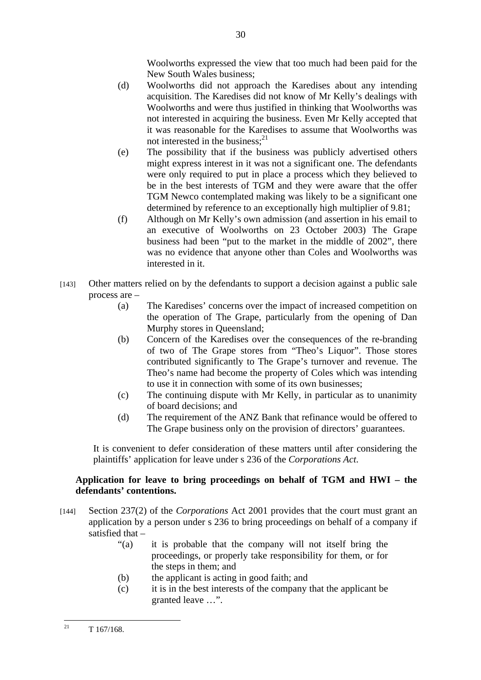Woolworths expressed the view that too much had been paid for the New South Wales business;

- (d) Woolworths did not approach the Karedises about any intending acquisition. The Karedises did not know of Mr Kelly's dealings with Woolworths and were thus justified in thinking that Woolworths was not interested in acquiring the business. Even Mr Kelly accepted that it was reasonable for the Karedises to assume that Woolworths was not interested in the business:<sup>21</sup>
- (e) The possibility that if the business was publicly advertised others might express interest in it was not a significant one. The defendants were only required to put in place a process which they believed to be in the best interests of TGM and they were aware that the offer TGM Newco contemplated making was likely to be a significant one determined by reference to an exceptionally high multiplier of 9.81;
- (f) Although on Mr Kelly's own admission (and assertion in his email to an executive of Woolworths on 23 October 2003) The Grape business had been "put to the market in the middle of 2002", there was no evidence that anyone other than Coles and Woolworths was interested in it.
- [143] Other matters relied on by the defendants to support a decision against a public sale process are –
	- (a) The Karedises' concerns over the impact of increased competition on the operation of The Grape, particularly from the opening of Dan Murphy stores in Queensland;
	- (b) Concern of the Karedises over the consequences of the re-branding of two of The Grape stores from "Theo's Liquor". Those stores contributed significantly to The Grape's turnover and revenue. The Theo's name had become the property of Coles which was intending to use it in connection with some of its own businesses;
	- (c) The continuing dispute with Mr Kelly, in particular as to unanimity of board decisions; and
	- (d) The requirement of the ANZ Bank that refinance would be offered to The Grape business only on the provision of directors' guarantees.

It is convenient to defer consideration of these matters until after considering the plaintiffs' application for leave under s 236 of the *Corporations Act*.

# **Application for leave to bring proceedings on behalf of TGM and HWI – the defendants' contentions.**

- [144] Section 237(2) of the *Corporations* Act 2001 provides that the court must grant an application by a person under s 236 to bring proceedings on behalf of a company if satisfied that –
	- "(a) it is probable that the company will not itself bring the proceedings, or properly take responsibility for them, or for the steps in them; and
	- (b) the applicant is acting in good faith; and
	- (c) it is in the best interests of the company that the applicant be granted leave …".

 $21$ 21 T 167/168.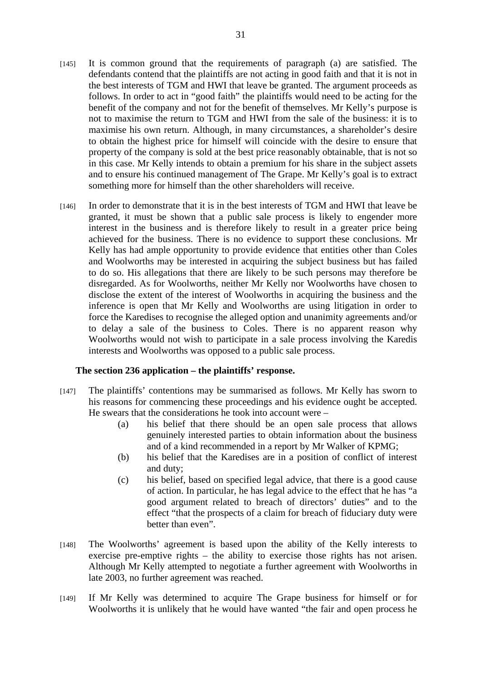- [145] It is common ground that the requirements of paragraph (a) are satisfied. The defendants contend that the plaintiffs are not acting in good faith and that it is not in the best interests of TGM and HWI that leave be granted. The argument proceeds as follows. In order to act in "good faith" the plaintiffs would need to be acting for the benefit of the company and not for the benefit of themselves. Mr Kelly's purpose is not to maximise the return to TGM and HWI from the sale of the business: it is to maximise his own return. Although, in many circumstances, a shareholder's desire to obtain the highest price for himself will coincide with the desire to ensure that property of the company is sold at the best price reasonably obtainable, that is not so in this case. Mr Kelly intends to obtain a premium for his share in the subject assets and to ensure his continued management of The Grape. Mr Kelly's goal is to extract something more for himself than the other shareholders will receive.
- [146] In order to demonstrate that it is in the best interests of TGM and HWI that leave be granted, it must be shown that a public sale process is likely to engender more interest in the business and is therefore likely to result in a greater price being achieved for the business. There is no evidence to support these conclusions. Mr Kelly has had ample opportunity to provide evidence that entities other than Coles and Woolworths may be interested in acquiring the subject business but has failed to do so. His allegations that there are likely to be such persons may therefore be disregarded. As for Woolworths, neither Mr Kelly nor Woolworths have chosen to disclose the extent of the interest of Woolworths in acquiring the business and the inference is open that Mr Kelly and Woolworths are using litigation in order to force the Karedises to recognise the alleged option and unanimity agreements and/or to delay a sale of the business to Coles. There is no apparent reason why Woolworths would not wish to participate in a sale process involving the Karedis interests and Woolworths was opposed to a public sale process.

## **The section 236 application – the plaintiffs' response.**

- [147] The plaintiffs' contentions may be summarised as follows. Mr Kelly has sworn to his reasons for commencing these proceedings and his evidence ought be accepted. He swears that the considerations he took into account were –
	- (a) his belief that there should be an open sale process that allows genuinely interested parties to obtain information about the business and of a kind recommended in a report by Mr Walker of KPMG;
	- (b) his belief that the Karedises are in a position of conflict of interest and duty;
	- (c) his belief, based on specified legal advice, that there is a good cause of action. In particular, he has legal advice to the effect that he has "a good argument related to breach of directors' duties" and to the effect "that the prospects of a claim for breach of fiduciary duty were better than even".
- [148] The Woolworths' agreement is based upon the ability of the Kelly interests to exercise pre-emptive rights – the ability to exercise those rights has not arisen. Although Mr Kelly attempted to negotiate a further agreement with Woolworths in late 2003, no further agreement was reached.
- [149] If Mr Kelly was determined to acquire The Grape business for himself or for Woolworths it is unlikely that he would have wanted "the fair and open process he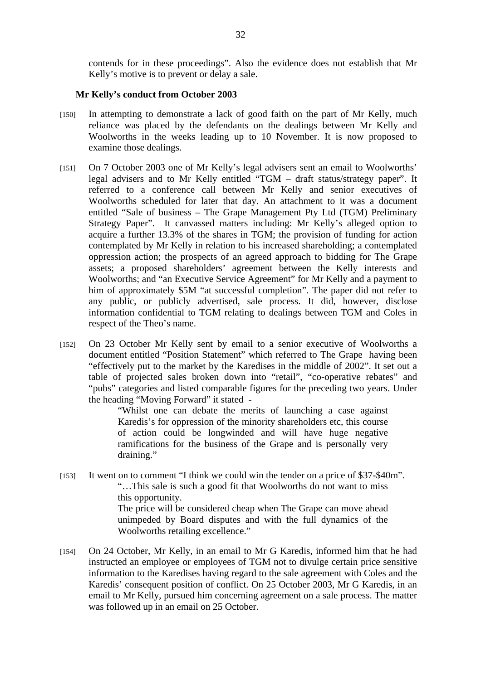contends for in these proceedings". Also the evidence does not establish that Mr Kelly's motive is to prevent or delay a sale.

#### **Mr Kelly's conduct from October 2003**

- [150] In attempting to demonstrate a lack of good faith on the part of Mr Kelly, much reliance was placed by the defendants on the dealings between Mr Kelly and Woolworths in the weeks leading up to 10 November. It is now proposed to examine those dealings.
- [151] On 7 October 2003 one of Mr Kelly's legal advisers sent an email to Woolworths' legal advisers and to Mr Kelly entitled "TGM – draft status/strategy paper". It referred to a conference call between Mr Kelly and senior executives of Woolworths scheduled for later that day. An attachment to it was a document entitled "Sale of business – The Grape Management Pty Ltd (TGM) Preliminary Strategy Paper". It canvassed matters including: Mr Kelly's alleged option to acquire a further 13.3% of the shares in TGM; the provision of funding for action contemplated by Mr Kelly in relation to his increased shareholding; a contemplated oppression action; the prospects of an agreed approach to bidding for The Grape assets; a proposed shareholders' agreement between the Kelly interests and Woolworths; and "an Executive Service Agreement" for Mr Kelly and a payment to him of approximately \$5M "at successful completion". The paper did not refer to any public, or publicly advertised, sale process. It did, however, disclose information confidential to TGM relating to dealings between TGM and Coles in respect of the Theo's name.
- [152] On 23 October Mr Kelly sent by email to a senior executive of Woolworths a document entitled "Position Statement" which referred to The Grape having been "effectively put to the market by the Karedises in the middle of 2002". It set out a table of projected sales broken down into "retail", "co-operative rebates" and "pubs" categories and listed comparable figures for the preceding two years. Under the heading "Moving Forward" it stated -

"Whilst one can debate the merits of launching a case against Karedis's for oppression of the minority shareholders etc, this course of action could be longwinded and will have huge negative ramifications for the business of the Grape and is personally very draining."

- [153] It went on to comment "I think we could win the tender on a price of \$37-\$40m". "…This sale is such a good fit that Woolworths do not want to miss this opportunity. The price will be considered cheap when The Grape can move ahead unimpeded by Board disputes and with the full dynamics of the Woolworths retailing excellence."
- [154] On 24 October, Mr Kelly, in an email to Mr G Karedis, informed him that he had instructed an employee or employees of TGM not to divulge certain price sensitive information to the Karedises having regard to the sale agreement with Coles and the Karedis' consequent position of conflict. On 25 October 2003, Mr G Karedis, in an email to Mr Kelly, pursued him concerning agreement on a sale process. The matter was followed up in an email on 25 October.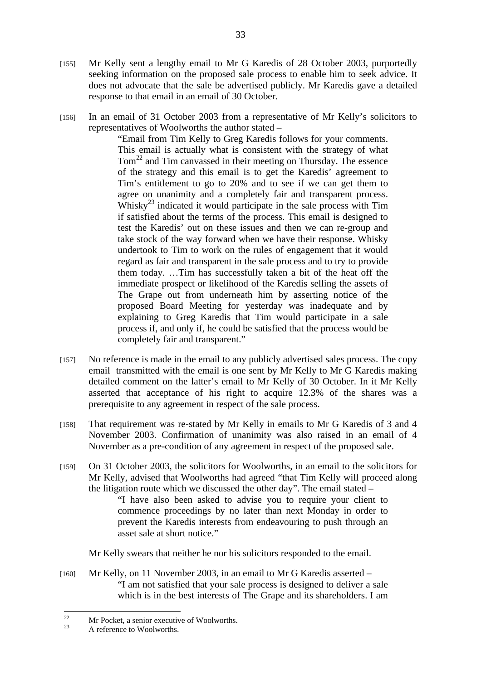- [155] Mr Kelly sent a lengthy email to Mr G Karedis of 28 October 2003, purportedly seeking information on the proposed sale process to enable him to seek advice. It does not advocate that the sale be advertised publicly. Mr Karedis gave a detailed response to that email in an email of 30 October.
- [156] In an email of 31 October 2003 from a representative of Mr Kelly's solicitors to representatives of Woolworths the author stated –

"Email from Tim Kelly to Greg Karedis follows for your comments. This email is actually what is consistent with the strategy of what  $Tom<sup>22</sup>$  and Tim canvassed in their meeting on Thursday. The essence of the strategy and this email is to get the Karedis' agreement to Tim's entitlement to go to 20% and to see if we can get them to agree on unanimity and a completely fair and transparent process. Whisky<sup>23</sup> indicated it would participate in the sale process with  $\text{Tim}$ if satisfied about the terms of the process. This email is designed to test the Karedis' out on these issues and then we can re-group and take stock of the way forward when we have their response. Whisky undertook to Tim to work on the rules of engagement that it would regard as fair and transparent in the sale process and to try to provide them today. …Tim has successfully taken a bit of the heat off the immediate prospect or likelihood of the Karedis selling the assets of The Grape out from underneath him by asserting notice of the proposed Board Meeting for yesterday was inadequate and by explaining to Greg Karedis that Tim would participate in a sale process if, and only if, he could be satisfied that the process would be completely fair and transparent."

- [157] No reference is made in the email to any publicly advertised sales process. The copy email transmitted with the email is one sent by Mr Kelly to Mr G Karedis making detailed comment on the latter's email to Mr Kelly of 30 October. In it Mr Kelly asserted that acceptance of his right to acquire 12.3% of the shares was a prerequisite to any agreement in respect of the sale process.
- [158] That requirement was re-stated by Mr Kelly in emails to Mr G Karedis of 3 and 4 November 2003. Confirmation of unanimity was also raised in an email of 4 November as a pre-condition of any agreement in respect of the proposed sale.
- [159] On 31 October 2003, the solicitors for Woolworths, in an email to the solicitors for Mr Kelly, advised that Woolworths had agreed "that Tim Kelly will proceed along the litigation route which we discussed the other day". The email stated –

"I have also been asked to advise you to require your client to commence proceedings by no later than next Monday in order to prevent the Karedis interests from endeavouring to push through an asset sale at short notice."

Mr Kelly swears that neither he nor his solicitors responded to the email.

[160] Mr Kelly, on 11 November 2003, in an email to Mr G Karedis asserted – "I am not satisfied that your sale process is designed to deliver a sale which is in the best interests of The Grape and its shareholders. I am

 $22$ <sup>22</sup> Mr Pocket, a senior executive of Woolworths.<br>A reference to Woolworths.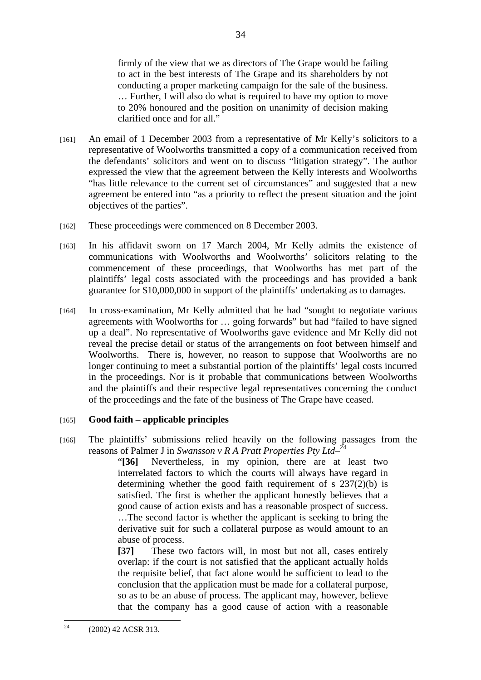firmly of the view that we as directors of The Grape would be failing to act in the best interests of The Grape and its shareholders by not conducting a proper marketing campaign for the sale of the business. … Further, I will also do what is required to have my option to move to 20% honoured and the position on unanimity of decision making clarified once and for all."

- [161] An email of 1 December 2003 from a representative of Mr Kelly's solicitors to a representative of Woolworths transmitted a copy of a communication received from the defendants' solicitors and went on to discuss "litigation strategy". The author expressed the view that the agreement between the Kelly interests and Woolworths "has little relevance to the current set of circumstances" and suggested that a new agreement be entered into "as a priority to reflect the present situation and the joint objectives of the parties".
- [162] These proceedings were commenced on 8 December 2003.
- [163] In his affidavit sworn on 17 March 2004, Mr Kelly admits the existence of communications with Woolworths and Woolworths' solicitors relating to the commencement of these proceedings, that Woolworths has met part of the plaintiffs' legal costs associated with the proceedings and has provided a bank guarantee for \$10,000,000 in support of the plaintiffs' undertaking as to damages.
- [164] In cross-examination, Mr Kelly admitted that he had "sought to negotiate various agreements with Woolworths for … going forwards" but had "failed to have signed up a deal". No representative of Woolworths gave evidence and Mr Kelly did not reveal the precise detail or status of the arrangements on foot between himself and Woolworths. There is, however, no reason to suppose that Woolworths are no longer continuing to meet a substantial portion of the plaintiffs' legal costs incurred in the proceedings. Nor is it probable that communications between Woolworths and the plaintiffs and their respective legal representatives concerning the conduct of the proceedings and the fate of the business of The Grape have ceased.

# [165] **Good faith – applicable principles**

[166] The plaintiffs' submissions relied heavily on the following passages from the reasons of Palmer J in *Swansson v R A Pratt Properties Pty Ltd*<sup>-24</sup>

> "**[36]** Nevertheless, in my opinion, there are at least two interrelated factors to which the courts will always have regard in determining whether the good faith requirement of s 237(2)(b) is satisfied. The first is whether the applicant honestly believes that a good cause of action exists and has a reasonable prospect of success. …The second factor is whether the applicant is seeking to bring the derivative suit for such a collateral purpose as would amount to an abuse of process.

> **[37]** These two factors will, in most but not all, cases entirely overlap: if the court is not satisfied that the applicant actually holds the requisite belief, that fact alone would be sufficient to lead to the conclusion that the application must be made for a collateral purpose, so as to be an abuse of process. The applicant may, however, believe that the company has a good cause of action with a reasonable

 $24$ 24 (2002) 42 ACSR 313.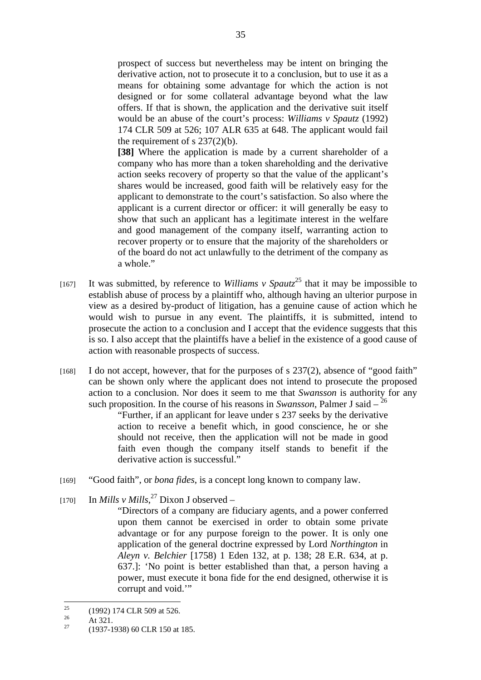prospect of success but nevertheless may be intent on bringing the derivative action, not to prosecute it to a conclusion, but to use it as a means for obtaining some advantage for which the action is not designed or for some collateral advantage beyond what the law offers. If that is shown, the application and the derivative suit itself would be an abuse of the court's process: *Williams v Spautz* (1992) 174 CLR 509 at 526; 107 ALR 635 at 648. The applicant would fail the requirement of s  $237(2)(b)$ .

**[38]** Where the application is made by a current shareholder of a company who has more than a token shareholding and the derivative action seeks recovery of property so that the value of the applicant's shares would be increased, good faith will be relatively easy for the applicant to demonstrate to the court's satisfaction. So also where the applicant is a current director or officer: it will generally be easy to show that such an applicant has a legitimate interest in the welfare and good management of the company itself, warranting action to recover property or to ensure that the majority of the shareholders or of the board do not act unlawfully to the detriment of the company as a whole."

- [167] It was submitted, by reference to *Williams v Spautz*<sup>25</sup> that it may be impossible to establish abuse of process by a plaintiff who, although having an ulterior purpose in view as a desired by-product of litigation, has a genuine cause of action which he would wish to pursue in any event. The plaintiffs, it is submitted, intend to prosecute the action to a conclusion and I accept that the evidence suggests that this is so. I also accept that the plaintiffs have a belief in the existence of a good cause of action with reasonable prospects of success.
- [168] I do not accept, however, that for the purposes of s 237(2), absence of "good faith" can be shown only where the applicant does not intend to prosecute the proposed action to a conclusion. Nor does it seem to me that *Swansson* is authority for any such proposition. In the course of his reasons in *Swansson*, Palmer J said  $-\frac{26}{3}$

"Further, if an applicant for leave under s 237 seeks by the derivative action to receive a benefit which, in good conscience, he or she should not receive, then the application will not be made in good faith even though the company itself stands to benefit if the derivative action is successful."

- [169] "Good faith", or *bona fides*, is a concept long known to company law.
- [170] In *Mills v Mills*,<sup>27</sup> Dixon J observed
	- "Directors of a company are fiduciary agents, and a power conferred upon them cannot be exercised in order to obtain some private advantage or for any purpose foreign to the power. It is only one application of the general doctrine expressed by Lord *Northington* in *Aleyn v. Belchier* [1758) 1 Eden 132, at p. 138; 28 E.R. 634, at p. 637.]: 'No point is better established than that, a person having a power, must execute it bona fide for the end designed, otherwise it is corrupt and void.'"

 $25$  $^{25}$  (1992) 174 CLR 509 at 526.

 $\frac{26}{27}$  At 321.

<sup>27 (1937-1938) 60</sup> CLR 150 at 185.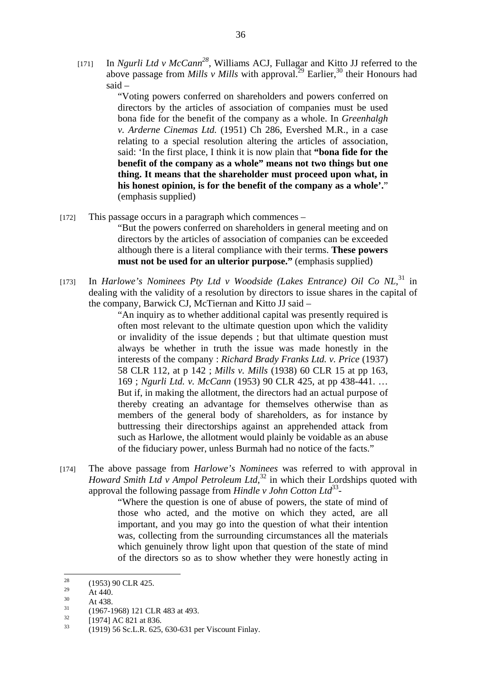[171] In *Ngurli Ltd v McCann28*, Williams ACJ, Fullagar and Kitto JJ referred to the above passage from *Mills v Mills* with approval.<sup>29</sup> Earlier,<sup>30</sup> their Honours had said –

> "Voting powers conferred on shareholders and powers conferred on directors by the articles of association of companies must be used bona fide for the benefit of the company as a whole. In *Greenhalgh v. Arderne Cinemas Ltd.* (1951) Ch 286, Evershed M.R., in a case relating to a special resolution altering the articles of association, said: 'In the first place, I think it is now plain that **"bona fide for the benefit of the company as a whole" means not two things but one thing. It means that the shareholder must proceed upon what, in his honest opinion, is for the benefit of the company as a whole'.**" (emphasis supplied)

 $[172]$  This passage occurs in a paragraph which commences –

"But the powers conferred on shareholders in general meeting and on directors by the articles of association of companies can be exceeded although there is a literal compliance with their terms. **These powers must not be used for an ulterior purpose."** (emphasis supplied)

[173] In *Harlowe's Nominees Pty Ltd v Woodside (Lakes Entrance) Oil Co NL*,<sup>31</sup> in dealing with the validity of a resolution by directors to issue shares in the capital of the company, Barwick CJ, McTiernan and Kitto JJ said –

> "An inquiry as to whether additional capital was presently required is often most relevant to the ultimate question upon which the validity or invalidity of the issue depends ; but that ultimate question must always be whether in truth the issue was made honestly in the interests of the company : *Richard Brady Franks Ltd. v. Price* (1937) 58 CLR 112, at p 142 ; *Mills v. Mills* (1938) 60 CLR 15 at pp 163, 169 ; *Ngurli Ltd. v. McCann* (1953) 90 CLR 425, at pp 438-441. … But if, in making the allotment, the directors had an actual purpose of thereby creating an advantage for themselves otherwise than as members of the general body of shareholders, as for instance by buttressing their directorships against an apprehended attack from such as Harlowe, the allotment would plainly be voidable as an abuse of the fiduciary power, unless Burmah had no notice of the facts."

[174] The above passage from *Harlowe's Nominees* was referred to with approval in *Howard Smith Ltd v Ampol Petroleum Ltd*, <sup>32</sup> in which their Lordships quoted with approval the following passage from *Hindle v John Cotton Ltd*<sup>33</sup>*-*

"Where the question is one of abuse of powers, the state of mind of those who acted, and the motive on which they acted, are all important, and you may go into the question of what their intention was, collecting from the surrounding circumstances all the materials which genuinely throw light upon that question of the state of mind of the directors so as to show whether they were honestly acting in

 $\frac{30}{31}$  At 438.

<sup>28</sup>  $\frac{28}{29}$  (1953) 90 CLR 425.

 $\frac{29}{30}$  At 440.

 $^{31}$  (1967-1968) 121 CLR 483 at 493.

 $\frac{32}{33}$  [1974] AC 821 at 836.

<sup>33 (1919) 56</sup> Sc.L.R. 625, 630-631 per Viscount Finlay.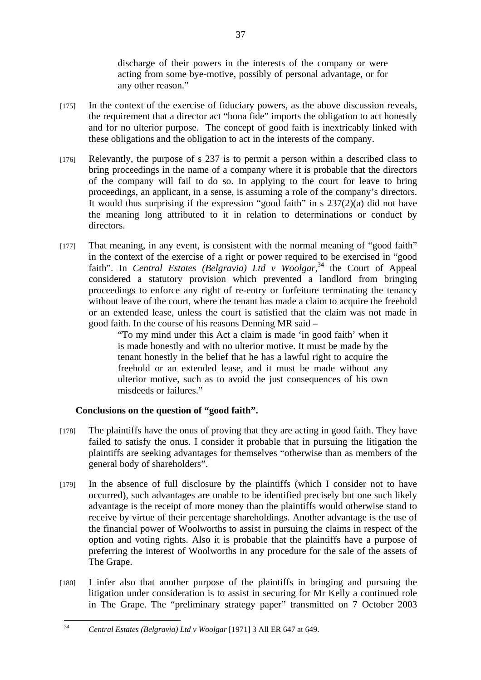discharge of their powers in the interests of the company or were acting from some bye-motive, possibly of personal advantage, or for any other reason."

- [175] In the context of the exercise of fiduciary powers, as the above discussion reveals, the requirement that a director act "bona fide" imports the obligation to act honestly and for no ulterior purpose. The concept of good faith is inextricably linked with these obligations and the obligation to act in the interests of the company.
- [176] Relevantly, the purpose of s 237 is to permit a person within a described class to bring proceedings in the name of a company where it is probable that the directors of the company will fail to do so. In applying to the court for leave to bring proceedings, an applicant, in a sense, is assuming a role of the company's directors. It would thus surprising if the expression "good faith" in s 237(2)(a) did not have the meaning long attributed to it in relation to determinations or conduct by directors.
- [177] That meaning, in any event, is consistent with the normal meaning of "good faith" in the context of the exercise of a right or power required to be exercised in "good faith". In *Central Estates (Belgravia) Ltd v Woolgar*,<sup>34</sup> the Court of Appeal considered a statutory provision which prevented a landlord from bringing proceedings to enforce any right of re-entry or forfeiture terminating the tenancy without leave of the court, where the tenant has made a claim to acquire the freehold or an extended lease, unless the court is satisfied that the claim was not made in good faith. In the course of his reasons Denning MR said –

"To my mind under this Act a claim is made 'in good faith' when it is made honestly and with no ulterior motive. It must be made by the tenant honestly in the belief that he has a lawful right to acquire the freehold or an extended lease, and it must be made without any ulterior motive, such as to avoid the just consequences of his own misdeeds or failures."

# **Conclusions on the question of "good faith".**

- [178] The plaintiffs have the onus of proving that they are acting in good faith. They have failed to satisfy the onus. I consider it probable that in pursuing the litigation the plaintiffs are seeking advantages for themselves "otherwise than as members of the general body of shareholders".
- [179] In the absence of full disclosure by the plaintiffs (which I consider not to have occurred), such advantages are unable to be identified precisely but one such likely advantage is the receipt of more money than the plaintiffs would otherwise stand to receive by virtue of their percentage shareholdings. Another advantage is the use of the financial power of Woolworths to assist in pursuing the claims in respect of the option and voting rights. Also it is probable that the plaintiffs have a purpose of preferring the interest of Woolworths in any procedure for the sale of the assets of The Grape.
- [180] I infer also that another purpose of the plaintiffs in bringing and pursuing the litigation under consideration is to assist in securing for Mr Kelly a continued role in The Grape. The "preliminary strategy paper" transmitted on 7 October 2003

 $34$ 34 *Central Estates (Belgravia) Ltd v Woolgar* [1971] 3 All ER 647 at 649.